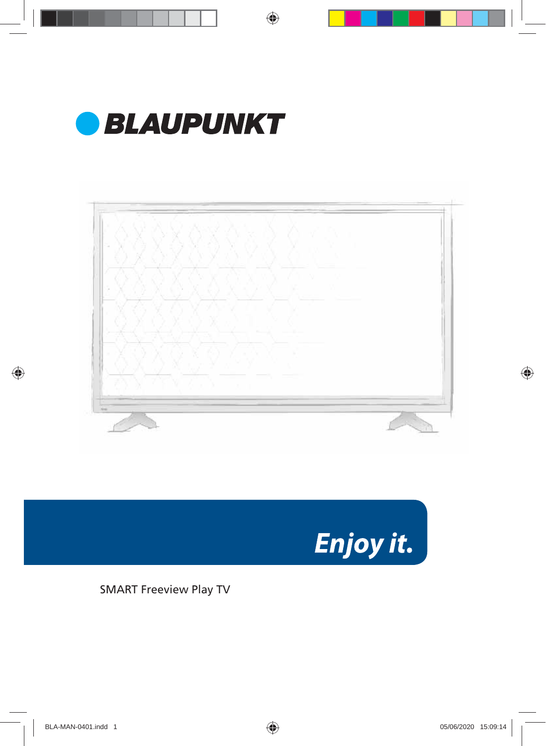



Enjoy it.

SMART Freeview Play TV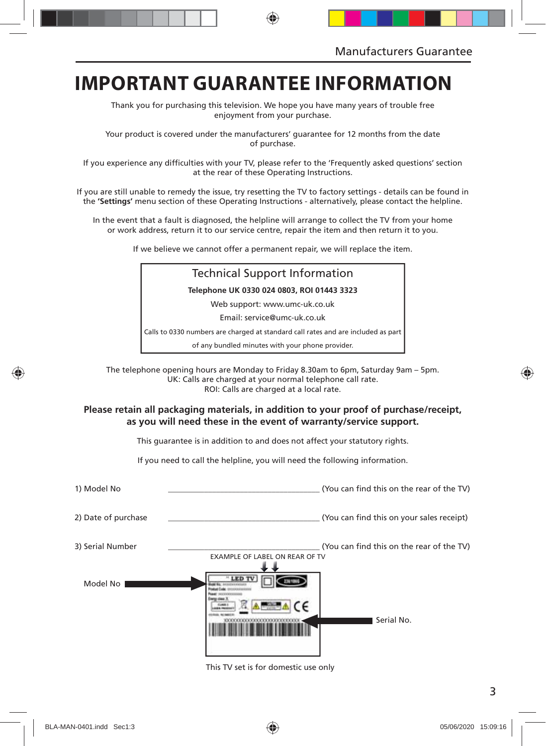### **IMPORTANT GUARANTEE INFORMATION**

Thank you for purchasing this television. We hope you have many years of trouble free enjoyment from your purchase.

Your product is covered under the manufacturers' guarantee for 12 months from the date of purchase.

If you experience any difficulties with your TV, please refer to the 'Frequently asked questions' section at the rear of these Operating Instructions.

If you are still unable to remedy the issue, try resetting the TV to factory settings - details can be found in the **'Settings'** menu section of these Operating Instructions - alternatively, please contact the helpline.

In the event that a fault is diagnosed, the helpline will arrange to collect the TV from your home or work address, return it to our service centre, repair the item and then return it to you.

If we believe we cannot offer a permanent repair, we will replace the item.

### Technical Support Information **Telephone UK 0330 024 0803, ROI 01443 3323** Web support: www.umc-uk.co.uk Email: service@umc-uk.co.uk Calls to 0330 numbers are charged at standard call rates and are included as part of any bundled minutes with your phone provider.

The telephone opening hours are Monday to Friday 8.30am to 6pm, Saturday 9am – 5pm. UK: Calls are charged at your normal telephone call rate. ROI: Calls are charged at a local rate.

#### **Please retain all packaging materials, in addition to your proof of purchase/receipt, as you will need these in the event of warranty/service support.**

This guarantee is in addition to and does not affect your statutory rights.

If you need to call the helpline, you will need the following information.

| 1) Model No         | (You can find this on the rear of the TV)                                   |
|---------------------|-----------------------------------------------------------------------------|
| 2) Date of purchase | (You can find this on your sales receipt)                                   |
| 3) Serial Number    | (You can find this on the rear of the TV)<br>EXAMPLE OF LABEL ON REAR OF TV |
| Model No            | Serial No.                                                                  |

This TV set is for domestic use only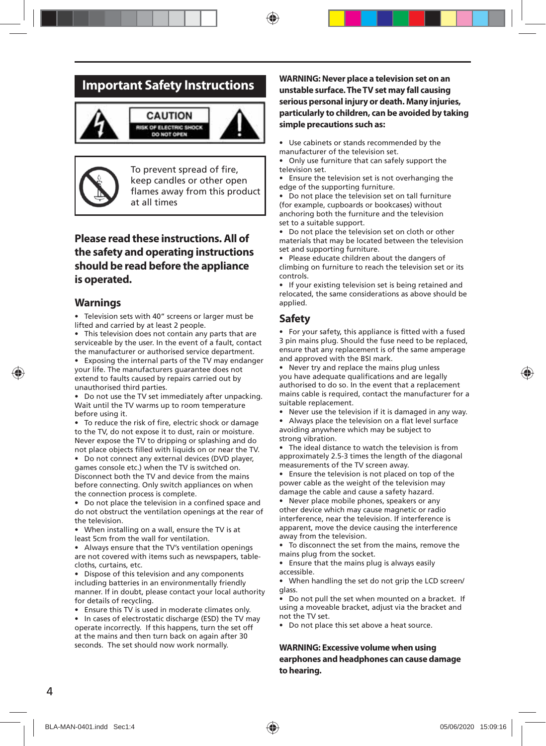### **Important Safety Instructions**





To prevent spread of fire, keep candles or other open flames away from this product at all times

### **Please read these instructions. All of the safety and operating instructions should be read before the appliance is operated.**

#### **Warnings**

• Television sets with 40" screens or larger must be lifted and carried by at least 2 people.

• This television does not contain any parts that are serviceable by the user. In the event of a fault, contact the manufacturer or authorised service department.

• Exposing the internal parts of the TV may endanger your life. The manufacturers guarantee does not extend to faults caused by repairs carried out by unauthorised third parties.

• Do not use the TV set immediately after unpacking. Wait until the TV warms up to room temperature before using it.

To reduce the risk of fire, electric shock or damage to the TV, do not expose it to dust, rain or moisture. Never expose the TV to dripping or splashing and do not place objects filled with liquids on or near the TV.

• Do not connect any external devices (DVD player, games console etc.) when the TV is switched on. Disconnect both the TV and device from the mains before connecting. Only switch appliances on when the connection process is complete.

• Do not place the television in a confined space and do not obstruct the ventilation openings at the rear of the television.

• When installing on a wall, ensure the TV is at least 5cm from the wall for ventilation.

• Always ensure that the TV's ventilation openings are not covered with items such as newspapers, tablecloths, curtains, etc.

Dispose of this television and any components including batteries in an environmentally friendly manner. If in doubt, please contact your local authority for details of recycling.

• Ensure this TV is used in moderate climates only.

• In cases of electrostatic discharge (ESD) the TV may operate incorrectly. If this happens, turn the set off at the mains and then turn back on again after 30 seconds. The set should now work normally.

#### **WARNING: Never place a television set on an unstable surface. The TV set may fall causing serious personal injury or death. Many injuries, particularly to children, can be avoided by taking simple precautions such as:**

• Use cabinets or stands recommended by the manufacturer of the television set.

• Only use furniture that can safely support the television set.

• Ensure the television set is not overhanging the edge of the supporting furniture.

• Do not place the television set on tall furniture (for example, cupboards or bookcases) without anchoring both the furniture and the television set to a suitable support.

• Do not place the television set on cloth or other materials that may be located between the television set and supporting furniture.

• Please educate children about the dangers of climbing on furniture to reach the television set or its controls.

• If your existing television set is being retained and relocated, the same considerations as above should be applied.

#### **Safety**

• For your safety, this appliance is fitted with a fused 3 pin mains plug. Should the fuse need to be replaced, ensure that any replacement is of the same amperage and approved with the BSI mark.

• Never try and replace the mains plug unless you have adequate qualifications and are legally authorised to do so. In the event that a replacement mains cable is required, contact the manufacturer for a suitable replacement.

• Never use the television if it is damaged in any way.

Always place the television on a flat level surface avoiding anywhere which may be subject to strong vibration.

• The ideal distance to watch the television is from approximately 2.5-3 times the length of the diagonal measurements of the TV screen away.

• Ensure the television is not placed on top of the power cable as the weight of the television may damage the cable and cause a safety hazard.

• Never place mobile phones, speakers or any other device which may cause magnetic or radio interference, near the television. If interference is apparent, move the device causing the interference away from the television.

• To disconnect the set from the mains, remove the mains plug from the socket.

• Ensure that the mains plug is always easily accessible.

• When handling the set do not grip the LCD screen/ glass.

• Do not pull the set when mounted on a bracket. If using a moveable bracket, adjust via the bracket and not the TV set.

• Do not place this set above a heat source.

#### **WARNING: Excessive volume when using earphones and headphones can cause damage to hearing.**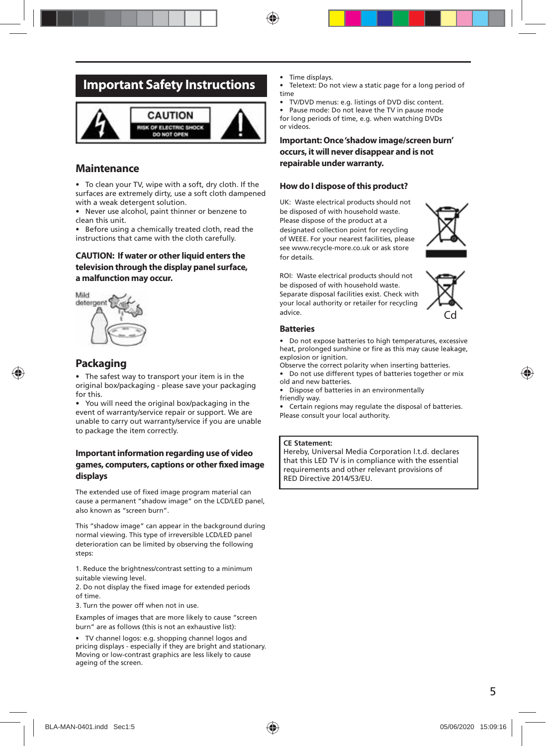### **Important Safety Instructions**



### **Maintenance**

• To clean your TV, wipe with a soft, dry cloth. If the surfaces are extremely dirty, use a soft cloth dampened with a weak detergent solution.

• Never use alcohol, paint thinner or benzene to clean this unit.

• Before using a chemically treated cloth, read the instructions that came with the cloth carefully.

#### **CAUTION: If water or other liquid enters the television through the display panel surface, a malfunction may occur.**



### **Packaging**

The safest way to transport your item is in the original box/packaging - please save your packaging for this.

• You will need the original box/packaging in the event of warranty/service repair or support. We are unable to carry out warranty/service if you are unable to package the item correctly.

#### **Important information regarding use of video**  games, computers, captions or other fixed image **displays**

The extended use of fixed image program material can cause a permanent "shadow image" on the LCD/LED panel, also known as "screen burn".

This "shadow image" can appear in the background during normal viewing. This type of irreversible LCD/LED panel deterioration can be limited by observing the following steps:

1. Reduce the brightness/contrast setting to a minimum suitable viewing level.

2. Do not display the fixed image for extended periods of time.

3. Turn the power off when not in use.

Examples of images that are more likely to cause "screen burn" are as follows (this is not an exhaustive list):

• TV channel logos: e.g. shopping channel logos and pricing displays - especially if they are bright and stationary. Moving or low-contrast graphics are less likely to cause ageing of the screen.

- Time displays.
- Teletext: Do not view a static page for a long period of time
- TV/DVD menus: e.g. listings of DVD disc content.
- Pause mode: Do not leave the TV in pause mode for long periods of time, e.g. when watching DVDs or videos.

#### **Important: Once 'shadow image/screen burn' occurs, it will never disappear and is not repairable under warranty.**

#### **How do I dispose of this product?**

UK: Waste electrical products should not be disposed of with household waste. Please dispose of the product at a designated collection point for recycling of WEEE. For your nearest facilities, please see www.recycle-more.co.uk or ask store for details.



ROI: Waste electrical products should not be disposed of with household waste. Separate disposal facilities exist. Check with your local authority or retailer for recycling advice.



#### **Batteries**

• Do not expose batteries to high temperatures, excessive heat, prolonged sunshine or fire as this may cause leakage, explosion or ignition.

- Observe the correct polarity when inserting batteries.
- Do not use different types of batteries together or mix old and new batteries.
- Dispose of batteries in an environmentally friendly way.
- Certain regions may regulate the disposal of batteries. Please consult your local authority.

#### **CE Statement:**

Hereby, Universal Media Corporation l.t.d. declares that this LED TV is in compliance with the essential requirements and other relevant provisions of RED Directive 2014/53/EU.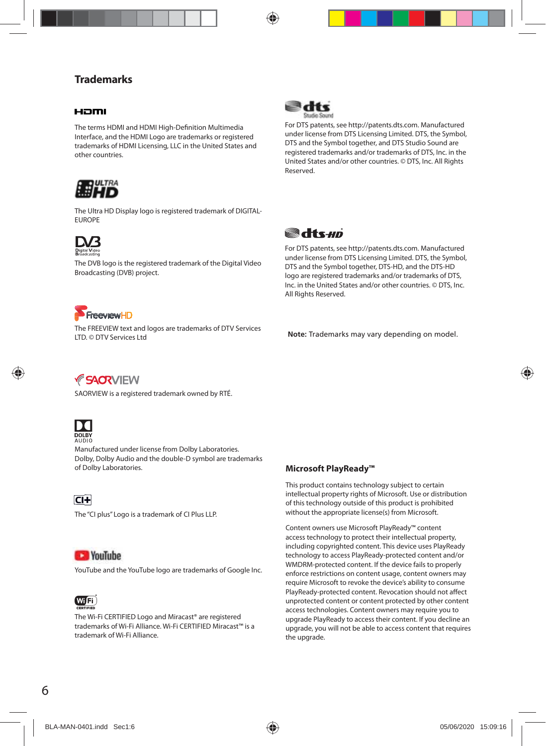### **Trademarks**

#### Haml

The terms HDMI and HDMI High-Definition Multimedia Interface, and the HDMI Logo are trademarks or registered trademarks of HDMI Licensing, LLC in the United States and other countries.



The Ultra HD Display logo is registered trademark of DIGITAL-EUROPE



The DVB logo is the registered trademark of the Digital Video Broadcasting (DVB) project.



For DTS patents, see http://patents.dts.com. Manufactured under license from DTS Licensing Limited. DTS, the Symbol, DTS and the Symbol together, and DTS Studio Sound are registered trademarks and/or trademarks of DTS, Inc. in the United States and/or other countries. © DTS, Inc. All Rights Reserved.



For DTS patents, see http://patents.dts.com. Manufactured under license from DTS Licensing Limited. DTS, the Symbol, DTS and the Symbol together, DTS-HD, and the DTS-HD logo are registered trademarks and/or trademarks of DTS, Inc. in the United States and/or other countries. © DTS, Inc. All Rights Reserved.



The FREEVIEW text and logos are trademarks of DTV Services LTD. © DTV Services Ltd

**Note:** Trademarks may vary depending on model.

*FSACRVIEW* 

SAORVIEW is a registered trademark owned by RTÉ.



Manufactured under license from Dolby Laboratories. Dolby, Dolby Audio and the double-D symbol are trademarks of Dolby Laboratories.

 $\overline{CI+}$ 

The "CI plus" Logo is a trademark of CI Plus LLP.

### **CE YouTube**

YouTube and the YouTube logo are trademarks of Google Inc.



The Wi-Fi CERTIFIED Logo and Miracast® are registered trademarks of Wi-Fi Alliance. Wi-Fi CERTIFIED Miracast™ is a trademark of Wi-Fi Alliance.

**Microsoft PlayReady™**

This product contains technology subject to certain intellectual property rights of Microsoft. Use or distribution of this technology outside of this product is prohibited without the appropriate license(s) from Microsoft.

Content owners use Microsoft PlayReady™ content access technology to protect their intellectual property, including copyrighted content. This device uses PlayReady technology to access PlayReady-protected content and/or WMDRM-protected content. If the device fails to properly enforce restrictions on content usage, content owners may require Microsoft to revoke the device's ability to consume PlayReady-protected content. Revocation should not affect unprotected content or content protected by other content access technologies. Content owners may require you to upgrade PlayReady to access their content. If you decline an upgrade, you will not be able to access content that requires the upgrade.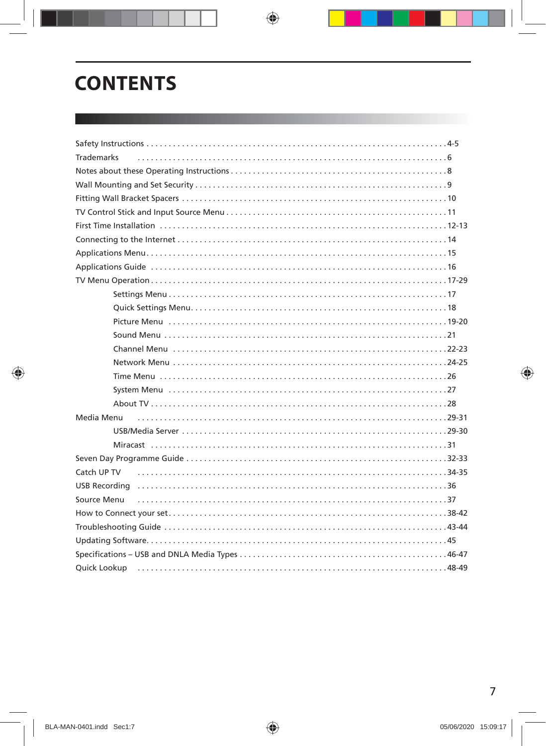## **CONTENTS**

| <b>Trademarks</b> |
|-------------------|
|                   |
|                   |
|                   |
|                   |
|                   |
|                   |
|                   |
|                   |
|                   |
|                   |
|                   |
|                   |
|                   |
|                   |
|                   |
|                   |
|                   |
|                   |
|                   |
| Media Menu        |
|                   |
|                   |
|                   |
| Catch UP TV       |
|                   |
| Source Menu       |
|                   |
|                   |
|                   |
|                   |
|                   |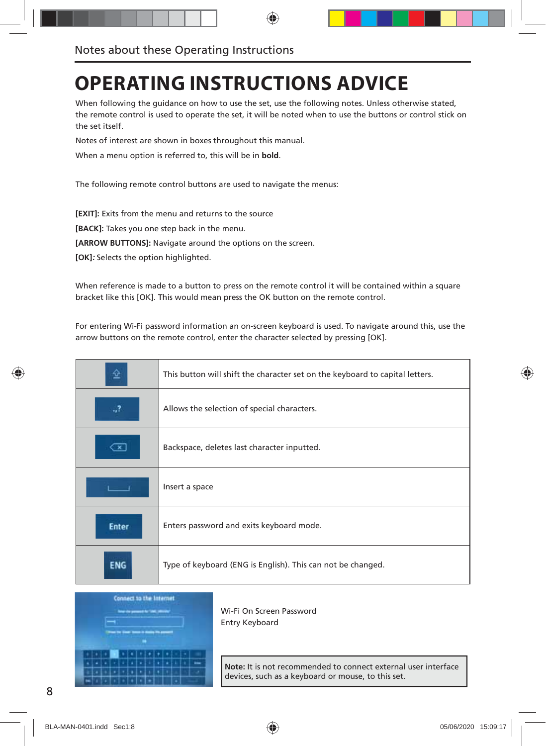## **OPERATING INSTRUCTIONS ADVICE**

When following the guidance on how to use the set, use the following notes. Unless otherwise stated, the remote control is used to operate the set, it will be noted when to use the buttons or control stick on the set itself.

Notes of interest are shown in boxes throughout this manual.

When a menu option is referred to, this will be in **bold**.

The following remote control buttons are used to navigate the menus:

**[EXIT]:** Exits from the menu and returns to the source

**[BACK]:** Takes you one step back in the menu.

**[ARROW BUTTONS]:** Navigate around the options on the screen.

**[OK]:** Selects the option highlighted.

When reference is made to a button to press on the remote control it will be contained within a square bracket like this [OK]. This would mean press the OK button on the remote control.

For entering Wi-Fi password information an on-screen keyboard is used. To navigate around this, use the arrow buttons on the remote control, enter the character selected by pressing [OK].

|              | This button will shift the character set on the keyboard to capital letters. |
|--------------|------------------------------------------------------------------------------|
| .,?          | Allows the selection of special characters.                                  |
| ×            | Backspace, deletes last character inputted.                                  |
|              | Insert a space                                                               |
| <b>Enter</b> | Enters password and exits keyboard mode.                                     |
| ENG          | Type of keyboard (ENG is English). This can not be changed.                  |



Wi-Fi On Screen Password Entry Keyboard

**Note:** It is not recommended to connect external user interface devices, such as a keyboard or mouse, to this set.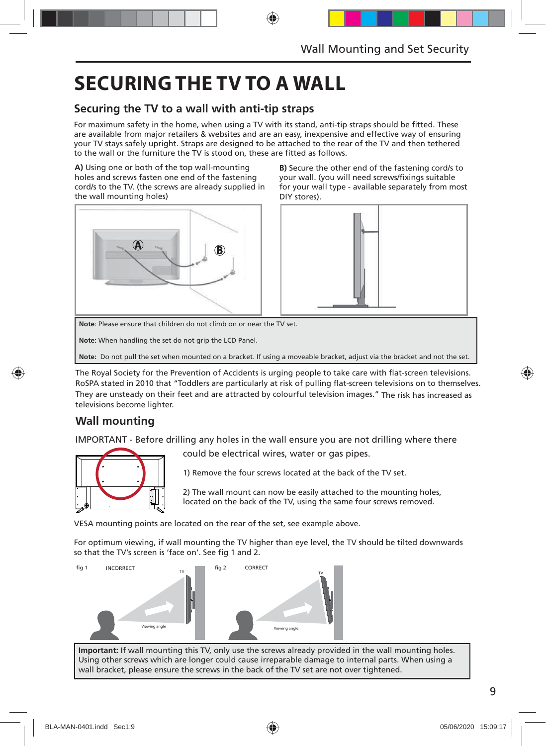## **SECURING THE TV TO A WALL**

### **Securing the TV to a wall with anti-tip straps**

For maximum safety in the home, when using a TV with its stand, anti-tip straps should be fitted. These are available from major retailers & websites and are an easy, inexpensive and effective way of ensuring your TV stays safely upright. Straps are designed to be attached to the rear of the TV and then tethered to the wall or the furniture the TV is stood on, these are fitted as follows.

**A)** Using one or both of the top wall-mounting holes and screws fasten one end of the fastening cord/s to the TV. (the screws are already supplied in the wall mounting holes)



**B)** Secure the other end of the fastening cord/s to your wall. (you will need screws/fixings suitable for your wall type - available separately from most DIY stores).



**Note**: Please ensure that children do not climb on or near the TV set.

**Note:** When handling the set do not grip the LCD Panel.

**Note:** Do not pull the set when mounted on a bracket. If using a moveable bracket, adjust via the bracket and not the set.

The Royal Society for the Prevention of Accidents is urging people to take care with flat-screen televisions. RoSPA stated in 2010 that "Toddlers are particularly at risk of pulling flat-screen televisions on to themselves. They are unsteady on their feet and are attracted by colourful television images." The risk has increased as televisions become lighter.

### **Wall mounting**

IMPORTANT - Before drilling any holes in the wall ensure you are not drilling where there



could be electrical wires, water or gas pipes.

1) Remove the four screws located at the back of the TV set.

2) The wall mount can now be easily attached to the mounting holes, located on the back of the TV, using the same four screws removed.

VESA mounting points are located on the rear of the set, see example above.

For optimum viewing, if wall mounting the TV higher than eye level, the TV should be tilted downwards so that the TV's screen is 'face on'. See fig 1 and 2.



**Important:** If wall mounting this TV, only use the screws already provided in the wall mounting holes. Using other screws which are longer could cause irreparable damage to internal parts. When using a wall bracket, please ensure the screws in the back of the TV set are not over tightened.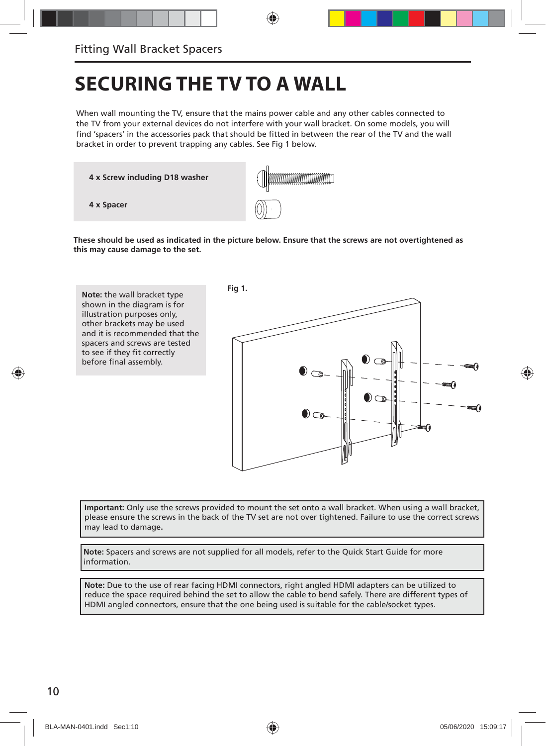## **SECURING THE TV TO A WALL**

When wall mounting the TV, ensure that the mains power cable and any other cables connected to the TV from your external devices do not interfere with your wall bracket. On some models, you will find 'spacers' in the accessories pack that should be fitted in between the rear of the TV and the wall bracket in order to prevent trapping any cables. See Fig 1 below.

**4 x Screw including D18 washer**



**These should be used as indicated in the picture below. Ensure that the screws are not overtightened as this may cause damage to the set.**



**Important:** Only use the screws provided to mount the set onto a wall bracket. When using a wall bracket, please ensure the screws in the back of the TV set are not over tightened. Failure to use the correct screws may lead to damage**.**

**Note:** Spacers and screws are not supplied for all models, refer to the Quick Start Guide for more information.

**Note:** Due to the use of rear facing HDMI connectors, right angled HDMI adapters can be utilized to reduce the space required behind the set to allow the cable to bend safely. There are different types of HDMI angled connectors, ensure that the one being used is suitable for the cable/socket types.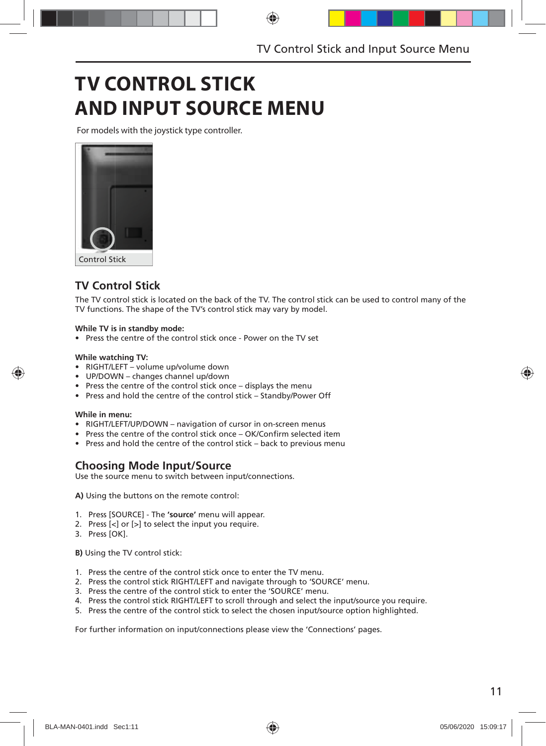## **TV CONTROL STICK AND INPUT SOURCE MENU**

For models with the joystick type controller.



### **TV Control Stick**

The TV control stick is located on the back of the TV. The control stick can be used to control many of the TV functions. The shape of the TV's control stick may vary by model.

#### **While TV is in standby mode:**

• Press the centre of the control stick once - Power on the TV set

#### **While watching TV:**

- RIGHT/LEFT volume up/volume down
- UP/DOWN changes channel up/down
- Press the centre of the control stick once displays the menu
- Press and hold the centre of the control stick Standby/Power Off

#### **While in menu:**

- RIGHT/LEFT/UP/DOWN navigation of cursor in on-screen menus
- Press the centre of the control stick once OK/Confirm selected item
- Press and hold the centre of the control stick back to previous menu

### **Choosing Mode Input/Source**

Use the source menu to switch between input/connections.

**A)** Using the buttons on the remote control:

- 1. Press [SOURCE] The **'source'** menu will appear.
- 2. Press [<] or [>] to select the input you require.
- 3. Press [OK].

**B)** Using the TV control stick:

- 1. Press the centre of the control stick once to enter the TV menu.
- 2. Press the control stick RIGHT/LEFT and navigate through to 'SOURCE' menu.
- 3. Press the centre of the control stick to enter the 'SOURCE' menu.
- 4. Press the control stick RIGHT/LEFT to scroll through and select the input/source you require.
- 5. Press the centre of the control stick to select the chosen input/source option highlighted.

For further information on input/connections please view the 'Connections' pages.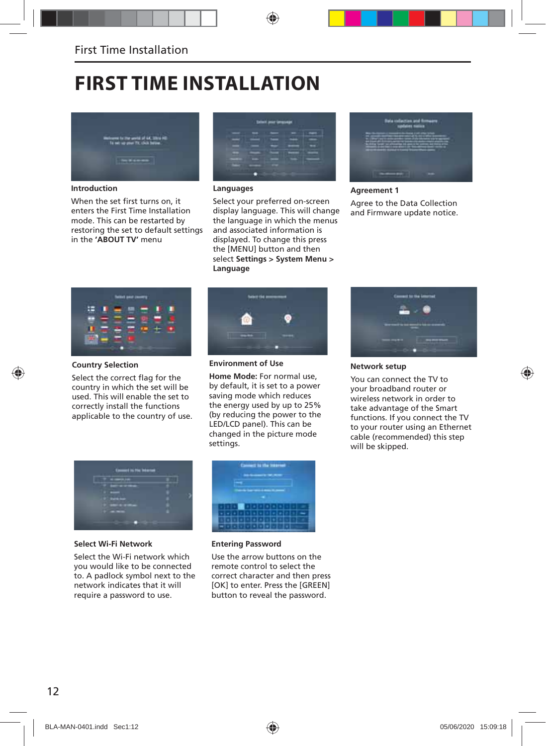## **FIRST TIME INSTALLATION**



**Introduction**

When the set first turns on, it enters the First Time Installation mode. This can be restarted by restoring the set to default settings in the **'ABOUT TV'** menu



#### **Languages**

Select your preferred on-screen display language. This will change the language in which the menus and associated information is displayed. To change this press the [MENU] button and then select **Settings > System Menu > Language**



#### **Agreement 1** Agree to the Data Collection and Firmware update notice.



#### **Country Selection**

Select the correct flag for the country in which the set will be used. This will enable the set to correctly install the functions applicable to the country of use.



**Environment of Use**

**Home Mode:** For normal use, by default, it is set to a power saving mode which reduces the energy used by up to 25% (by reducing the power to the LED/LCD panel). This can be changed in the picture mode settings.



**Select Wi-Fi Network**

Select the Wi-Fi network which you would like to be connected to. A padlock symbol next to the network indicates that it will require a password to use.



#### **Entering Password**

Use the arrow buttons on the remote control to select the correct character and then press [OK] to enter. Press the [GREEN] button to reveal the password.



**Network setup** 

You can connect the TV to your broadband router or wireless network in order to take advantage of the Smart functions. If you connect the TV to your router using an Ethernet cable (recommended) this step will be skipped.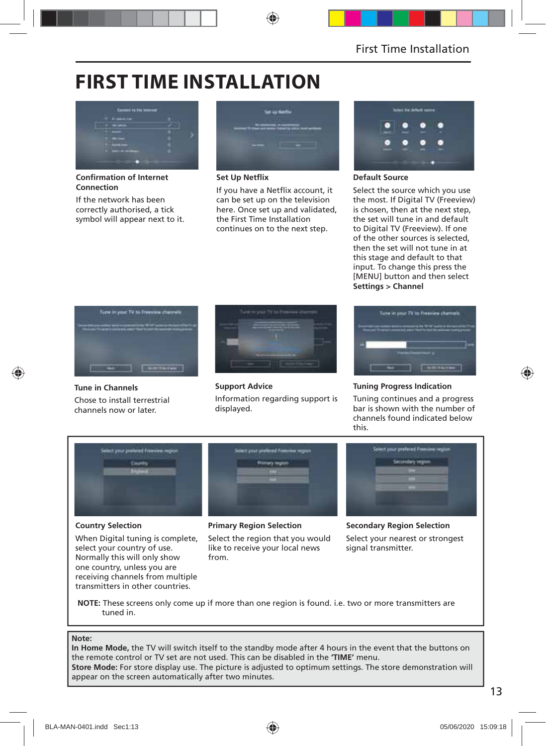## **FIRST TIME INSTALLATION**



**Confirmation of Internet Connection**

If the network has been correctly authorised, a tick symbol will appear next to it.



**Set Up Netflix** 

If you have a Netflix account, it can be set up on the television here. Once set up and validated, the First Time Installation continues on to the next step.



#### **Default Source**

Select the source which you use the most. If Digital TV (Freeview) is chosen, then at the next step, the set will tune in and default to Digital TV (Freeview). If one of the other sources is selected, then the set will not tune in at this stage and default to that input. To change this press the [MENU] button and then select **Settings > Channel**



**Tune in Channels** Chose to install terrestrial channels now or later.



**Support Advice** Information regarding support is displayed.



#### **Tuning Progress Indication**

Tuning continues and a progress bar is shown with the number of channels found indicated below this.



### **Country Selection**

When Digital tuning is complete, select your country of use. Normally this will only show one country, unless you are receiving channels from multiple transmitters in other countries.

#### **Primary Region Selection**

Select the region that you would like to receive your local news from.

**Secondary Region Selection** Select your nearest or strongest signal transmitter.

**NOTE:** These screens only come up if more than one region is found. i.e. two or more transmitters are tuned in.

#### **Note:**

**In Home Mode,** the TV will switch itself to the standby mode after 4 hours in the event that the buttons on the remote control or TV set are not used. This can be disabled in the **'TIME'** menu. **Store Mode:** For store display use. The picture is adjusted to optimum settings. The store demonstration will appear on the screen automatically after two minutes.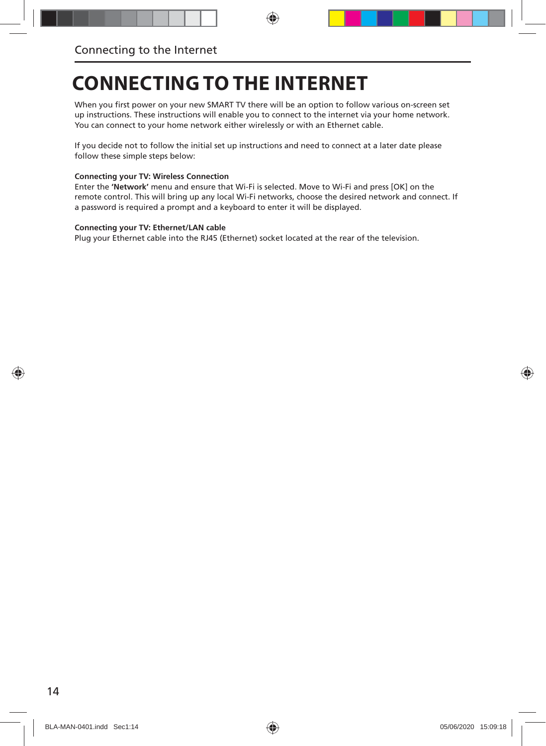## **CONNECTING TO THE INTERNET**

When you first power on your new SMART TV there will be an option to follow various on-screen set up instructions. These instructions will enable you to connect to the internet via your home network. You can connect to your home network either wirelessly or with an Ethernet cable.

If you decide not to follow the initial set up instructions and need to connect at a later date please follow these simple steps below:

#### **Connecting your TV: Wireless Connection**

Enter the **'Network'** menu and ensure that Wi-Fi is selected. Move to Wi-Fi and press [OK] on the remote control. This will bring up any local Wi-Fi networks, choose the desired network and connect. If a password is required a prompt and a keyboard to enter it will be displayed.

#### **Connecting your TV: Ethernet/LAN cable**

Plug your Ethernet cable into the RJ45 (Ethernet) socket located at the rear of the television.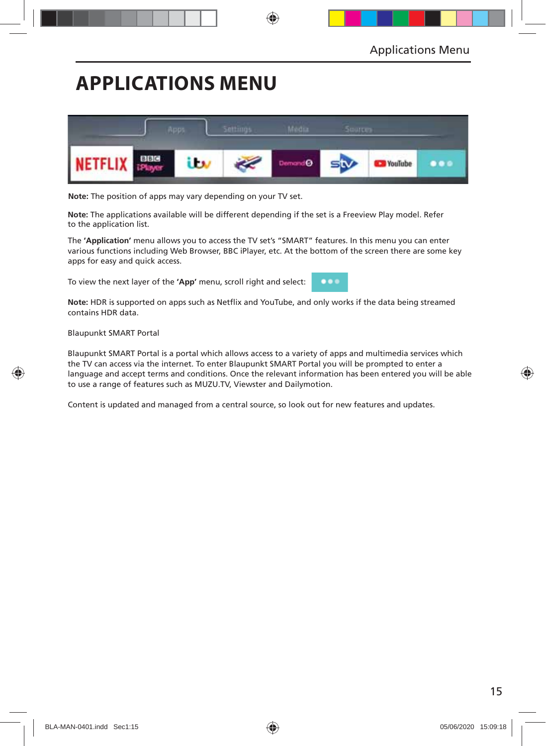## **APPLICATIONS MENU**



**Note:** The position of apps may vary depending on your TV set.

**Note:** The applications available will be different depending if the set is a Freeview Play model. Refer to the application list.

The **'Application'** menu allows you to access the TV set's "SMART" features. In this menu you can enter various functions including Web Browser, BBC iPlayer, etc. At the bottom of the screen there are some key apps for easy and quick access.

To view the next layer of the **'App'** menu, scroll right and select:



Note: HDR is supported on apps such as Netflix and YouTube, and only works if the data being streamed contains HDR data.

Blaupunkt SMART Portal

Blaupunkt SMART Portal is a portal which allows access to a variety of apps and multimedia services which the TV can access via the internet. To enter Blaupunkt SMART Portal you will be prompted to enter a language and accept terms and conditions. Once the relevant information has been entered you will be able to use a range of features such as MUZU.TV, Viewster and Dailymotion.

Content is updated and managed from a central source, so look out for new features and updates.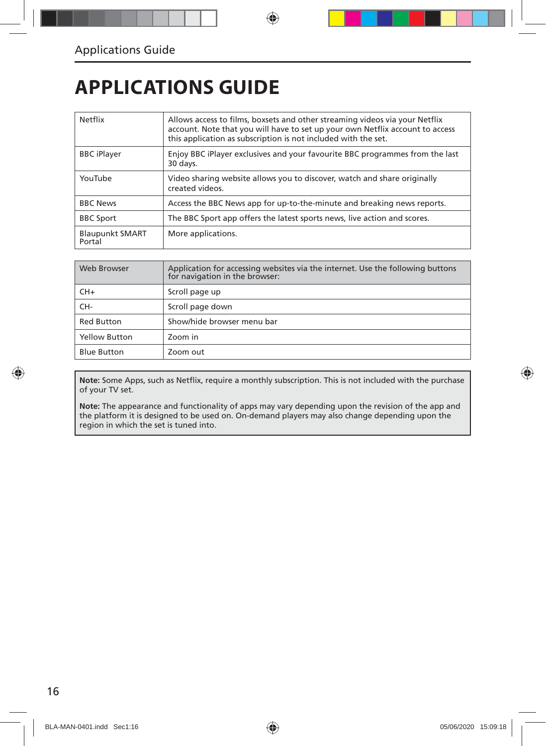## **APPLICATIONS GUIDE**

| Netflix                          | Allows access to films, boxsets and other streaming videos via your Netflix<br>account. Note that you will have to set up your own Netflix account to access<br>this application as subscription is not included with the set. |  |
|----------------------------------|--------------------------------------------------------------------------------------------------------------------------------------------------------------------------------------------------------------------------------|--|
| <b>BBC</b> iPlayer               | Enjoy BBC iPlayer exclusives and your favourite BBC programmes from the last<br>30 days.                                                                                                                                       |  |
| YouTube                          | Video sharing website allows you to discover, watch and share originally<br>created videos.                                                                                                                                    |  |
| <b>BBC News</b>                  | Access the BBC News app for up-to-the-minute and breaking news reports.                                                                                                                                                        |  |
| <b>BBC Sport</b>                 | The BBC Sport app offers the latest sports news, live action and scores.                                                                                                                                                       |  |
| <b>Blaupunkt SMART</b><br>Portal | More applications.                                                                                                                                                                                                             |  |

| Web Browser          | Application for accessing websites via the internet. Use the following buttons<br>for navigation in the browser: |
|----------------------|------------------------------------------------------------------------------------------------------------------|
| $CH+$                | Scroll page up                                                                                                   |
| CH-                  | Scroll page down                                                                                                 |
| <b>Red Button</b>    | Show/hide browser menu bar                                                                                       |
| <b>Yellow Button</b> | Zoom in                                                                                                          |
| <b>Blue Button</b>   | Zoom out                                                                                                         |

Note: Some Apps, such as Netflix, require a monthly subscription. This is not included with the purchase of your TV set.

**Note:** The appearance and functionality of apps may vary depending upon the revision of the app and the platform it is designed to be used on. On-demand players may also change depending upon the region in which the set is tuned into.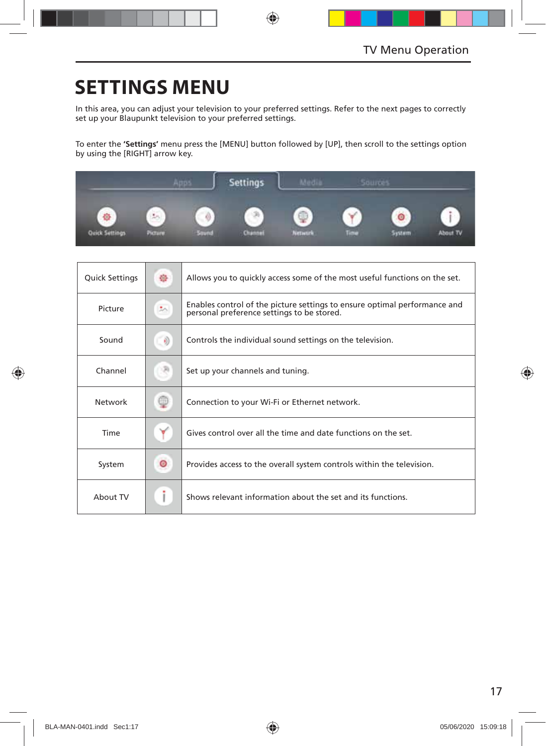## **SETTINGS MENU**

In this area, you can adjust your television to your preferred settings. Refer to the next pages to correctly set up your Blaupunkt television to your preferred settings.

To enter the **'Settings'** menu press the [MENU] button followed by [UP], then scroll to the settings option by using the [RIGHT] arrow key.



| <b>Quick Settings</b> | 徐       | Allows you to quickly access some of the most useful functions on the set.                                              |  |
|-----------------------|---------|-------------------------------------------------------------------------------------------------------------------------|--|
| Picture               | 圳       | Enables control of the picture settings to ensure optimal performance and<br>personal preference settings to be stored. |  |
| Sound                 | $\circ$ | Controls the individual sound settings on the television.                                                               |  |
| Channel               |         | Set up your channels and tuning.                                                                                        |  |
| Network               | œ       | Connection to your Wi-Fi or Ethernet network.                                                                           |  |
| Time                  |         | Gives control over all the time and date functions on the set.                                                          |  |
| System                | ◉       | Provides access to the overall system controls within the television.                                                   |  |
| About TV              |         | Shows relevant information about the set and its functions.                                                             |  |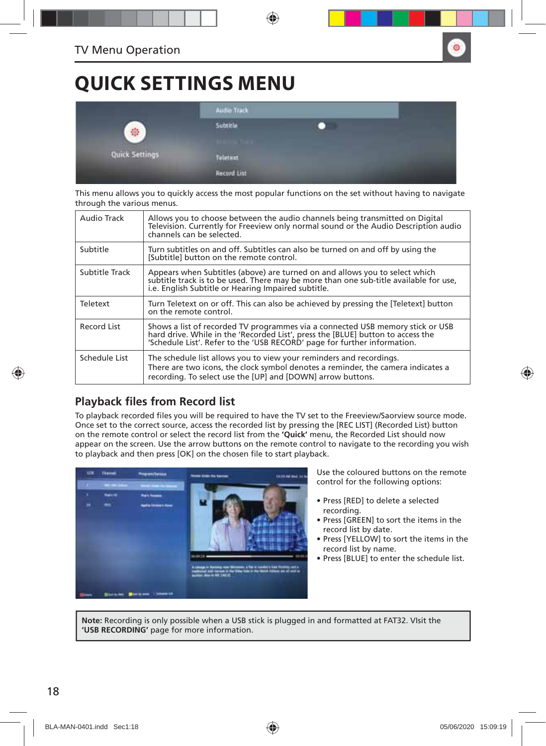## **QUICK SETTINGS MENU**

|                | <b>Audio Track</b>                            |  |
|----------------|-----------------------------------------------|--|
| Ŵ.             | Subtitle<br><b>Carl Carl Corp.</b>            |  |
| Quick Settings | Teletext                                      |  |
|                | <b>Record List</b><br><b><i>PATAMATER</i></b> |  |

This menu allows you to quickly access the most popular functions on the set without having to navigate through the various menus.

| Audio Track    | Allows vou to choose between the audio channels being transmitted on Digital<br>Television. Currently for Freeview only normal sound or the Audio Description audio<br>channels can be selected.                                              |
|----------------|-----------------------------------------------------------------------------------------------------------------------------------------------------------------------------------------------------------------------------------------------|
| Subtitle       | Turn subtitles on and off. Subtitles can also be turned on and off by using the<br>[Subtitle] button on the remote control.                                                                                                                   |
| Subtitle Track | Appears when Subtitles (above) are turned on and allows you to select which<br>subtitle track is to be used. There may be more than one sub-title available for use,<br>i.e. English Subtitle or Hearing Impaired subtitle.                   |
| Teletext       | Turn Teletext on or off. This can also be achieved by pressing the [Teletext] button<br>on the remote control.                                                                                                                                |
| Record List    | Shows a list of recorded TV programmes via a connected USB memory stick or USB<br>hard drive. While in the 'Recorded List', press the [BLUE] button to access the<br>'Schedule List'. Refer to the 'USB RECORD' page for further information. |
| Schedule List  | The schedule list allows you to view your reminders and recordings.<br>There are two icons, the clock symbol denotes a reminder, the camera indicates a<br>recording. To select use the [UP] and [DOWN] arrow buttons.                        |

### **Playback files from Record list**

To playback recorded files you will be required to have the TV set to the Freeview/Saorview source mode. Once set to the correct source, access the recorded list by pressing the [REC LIST] (Recorded List) button on the remote control or select the record list from the **'Quick'** menu, the Recorded List should now appear on the screen. Use the arrow buttons on the remote control to navigate to the recording you wish to playback and then press [OK] on the chosen file to start playback.



Use the coloured buttons on the remote control for the following options:

- Press [RED] to delete a selected recording.
- Press [GREEN] to sort the items in the record list by date.
- Press [YELLOW] to sort the items in the record list by name.
- Press [BLUE] to enter the schedule list.

**Note:** Recording is only possible when a USB stick is plugged in and formatted at FAT32. VIsit the **'USB RECORDING'** page for more information.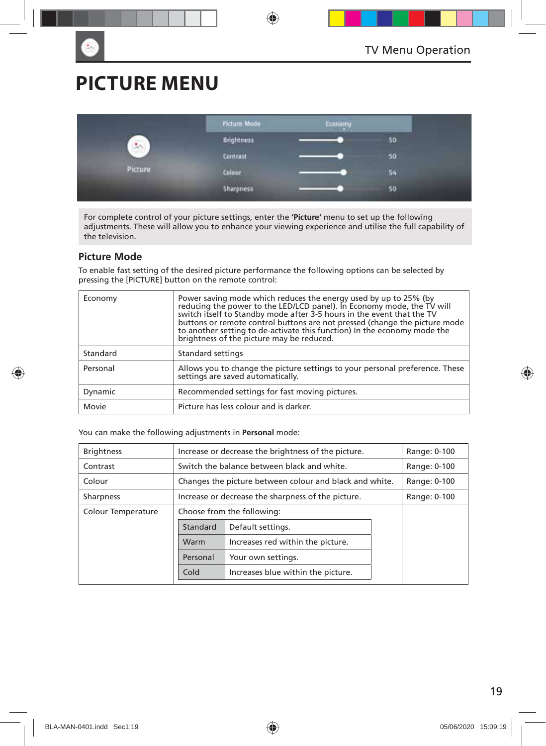## **PICTURE MENU**

|                      | Picture Mode     | Economy |    |
|----------------------|------------------|---------|----|
| $\frac{1}{\sqrt{2}}$ | Brightness       |         | 50 |
|                      | <b>Contrast</b>  |         | 50 |
| Picture              | Colour           |         | 54 |
|                      | <b>Sharpness</b> |         | 50 |

For complete control of your picture settings, enter the **'Picture'** menu to set up the following adjustments. These will allow you to enhance your viewing experience and utilise the full capability of the television.

#### **Picture Mode**

To enable fast setting of the desired picture performance the following options can be selected by pressing the [PICTURE] button on the remote control:

| Economy  | Power saving mode which reduces the energy used by up to 25% (by<br>reducing the power to the LED/LCD panel). In Economy mode, the TV will<br>switch itself to Standby mode after 3-5 hours in the event that the TV<br>buttons or remote control buttons are not pressed (change the picture mode to another setting to de-activate this function) In the economy mode the<br>brightness of the picture may be reduced. |  |
|----------|--------------------------------------------------------------------------------------------------------------------------------------------------------------------------------------------------------------------------------------------------------------------------------------------------------------------------------------------------------------------------------------------------------------------------|--|
| Standard | Standard settings                                                                                                                                                                                                                                                                                                                                                                                                        |  |
| Personal | Allows you to change the picture settings to your personal preference. These<br>settings are saved automatically.                                                                                                                                                                                                                                                                                                        |  |
| Dynamic  | Recommended settings for fast moving pictures.                                                                                                                                                                                                                                                                                                                                                                           |  |
| Movie    | Picture has less colour and is darker.                                                                                                                                                                                                                                                                                                                                                                                   |  |

You can make the following adjustments in **Personal** mode:

| <b>Brightness</b>  | Increase or decrease the brightness of the picture.     | Range: 0-100                                |  |  |
|--------------------|---------------------------------------------------------|---------------------------------------------|--|--|
| Contrast           |                                                         | Switch the balance between black and white. |  |  |
| Colour             | Changes the picture between colour and black and white. | Range: 0-100                                |  |  |
| <b>Sharpness</b>   | Increase or decrease the sharpness of the picture.      | Range: 0-100                                |  |  |
| Colour Temperature | Choose from the following:                              |                                             |  |  |
|                    | Standard                                                | Default settings.                           |  |  |
|                    | Warm                                                    | Increases red within the picture.           |  |  |
|                    | Personal                                                | Your own settings.                          |  |  |
|                    | Cold                                                    | Increases blue within the picture.          |  |  |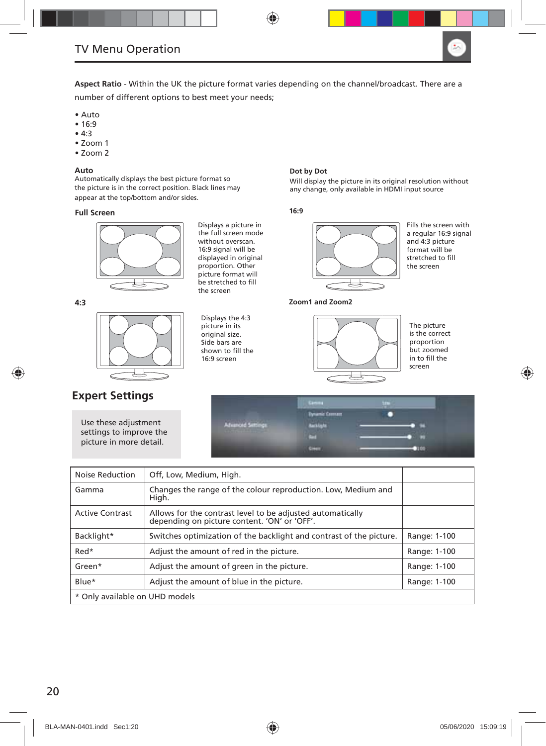

**Aspect Ratio** - Within the UK the picture format varies depending on the channel/broadcast. There are a number of different options to best meet your needs;

- Auto
- 16:9
- 4:3
- Zoom 1
- Zoom 2

#### **Auto**

Automatically displays the best picture format so the picture is in the correct position. Black lines may appear at the top/bottom and/or sides.

#### **Full Screen**



Displays a picture in the full screen mode without overscan. 16:9 signal will be displayed in original proportion. Other picture format will be stretched to fill the screen

Displays the 4:3 picture in its original size. Side bars are shown to fill the 16:9 screen

**4:3**



### **Expert Settings**

Use these adjustment settings to improve the picture in more detail.

#### **Dot by Dot**

Will display the picture in its original resolution without any change, only available in HDMI input source

#### **16:9**



Fills the screen with a regular 16:9 signal and 4:3 picture format will be stretched to fill the screen

**Zoom1 and Zoom2**



The picture is the correct proportion but zoomed in to fill the screen



| Noise Reduction                | Off, Low, Medium, High.                                                                                    |              |  |  |
|--------------------------------|------------------------------------------------------------------------------------------------------------|--------------|--|--|
| Gamma                          | Changes the range of the colour reproduction. Low, Medium and<br>High.                                     |              |  |  |
| <b>Active Contrast</b>         | Allows for the contrast level to be adjusted automatically<br>depending on picture content. 'ON' or 'OFF'. |              |  |  |
| Backlight*                     | Switches optimization of the backlight and contrast of the picture.                                        | Range: 1-100 |  |  |
| Red*                           | Adjust the amount of red in the picture.                                                                   | Range: 1-100 |  |  |
| Green*                         | Adjust the amount of green in the picture.                                                                 | Range: 1-100 |  |  |
| Blue*                          | Adjust the amount of blue in the picture.                                                                  | Range: 1-100 |  |  |
| * Only available on UHD models |                                                                                                            |              |  |  |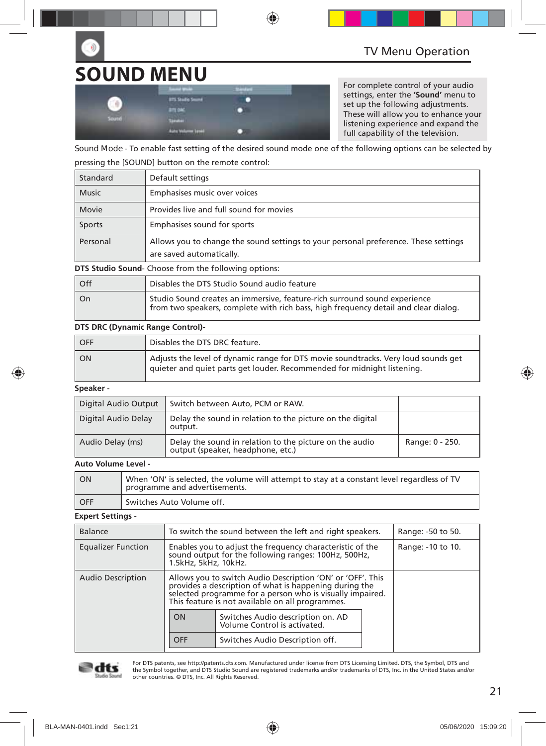# **SOUND MENU**

|       | <b>Search Union</b><br>-             | -<br>≖ |  |
|-------|--------------------------------------|--------|--|
|       | <b>BTS Studio Sound</b>              |        |  |
|       | <b>BITLON</b>                        |        |  |
| South | <b>The Color</b>                     |        |  |
|       | <b>Auto Volume Linei</b><br>________ |        |  |

For complete control of your audio settings, enter the **'Sound'** menu to set up the following adjustments. These will allow you to enhance your listening experience and expand the full capability of the television.

**Sound Mode** - To enable fast setting of the desired sound mode one of the following options can be selected by pressing the [SOUND] button on the remote control:

| Standard     | Default settings                                                                                                |
|--------------|-----------------------------------------------------------------------------------------------------------------|
| <b>Music</b> | Emphasises music over voices                                                                                    |
| Movie        | Provides live and full sound for movies                                                                         |
| Sports       | Emphasises sound for sports                                                                                     |
| Personal     | Allows you to change the sound settings to your personal preference. These settings<br>are saved automatically. |

**DTS Studio Sound**- Choose from the following options:

| l Off | Disables the DTS Studio Sound audio feature                                                                                                                      |
|-------|------------------------------------------------------------------------------------------------------------------------------------------------------------------|
| l On  | Studio Sound creates an immersive, feature-rich surround sound experience<br>from two speakers, complete with rich bass, high frequency detail and clear dialog. |

#### **DTS DRC (Dynamic Range Control)-**

| OFF       | Disables the DTS DRC feature.                                                                                                                                 |
|-----------|---------------------------------------------------------------------------------------------------------------------------------------------------------------|
| <b>ON</b> | Adjusts the level of dynamic range for DTS movie soundtracks. Very loud sounds get<br>quieter and quiet parts get louder. Recommended for midnight listening. |

#### **Speaker** -

| Digital Audio Output | Switch between Auto, PCM or RAW.                                                             |                 |
|----------------------|----------------------------------------------------------------------------------------------|-----------------|
| Digital Audio Delay  | Delay the sound in relation to the picture on the digital<br>output.                         |                 |
| Audio Delay (ms)     | Delay the sound in relation to the picture on the audio<br>output (speaker, headphone, etc.) | Range: 0 - 250. |

#### **Auto Volume Level -**

| I ON  | When 'ON' is selected, the volume will attempt to stay at a constant level regardless of TV<br>programme and advertisements. |
|-------|------------------------------------------------------------------------------------------------------------------------------|
| L OFF | Switches Auto Volume off.                                                                                                    |

#### **Expert Settings** -

| <b>Balance</b>            | To switch the sound between the left and right speakers.                                                                                                                                                                              |                                 |                   | Range: -50 to 50. |
|---------------------------|---------------------------------------------------------------------------------------------------------------------------------------------------------------------------------------------------------------------------------------|---------------------------------|-------------------|-------------------|
| <b>Equalizer Function</b> | Enables you to adjust the frequency characteristic of the<br>sound output for the following ranges: 100Hz, 500Hz,<br>1.5kHz, 5kHz, 10kHz.                                                                                             |                                 | Range: -10 to 10. |                   |
| <b>Audio Description</b>  | Allows you to switch Audio Description 'ON' or 'OFF'. This<br>provides a description of what is happening during the<br>selected programme for a person who is visually impaired.<br>This feature is not available on all programmes. |                                 |                   |                   |
|                           | Switches Audio description on. AD<br>ON<br>Volume Control is activated.                                                                                                                                                               |                                 |                   |                   |
|                           | OFF                                                                                                                                                                                                                                   | Switches Audio Description off. |                   |                   |



For DTS patents, see http://patents.dts.com. Manufactured under license from DTS Licensing Limited. DTS, the Symbol, DTS and the Symbol together, and DTS Studio Sound are registered trademarks and/or trademarks of DTS, Inc. in the United States and/or other countries. © DTS, Inc. All Rights Reserved.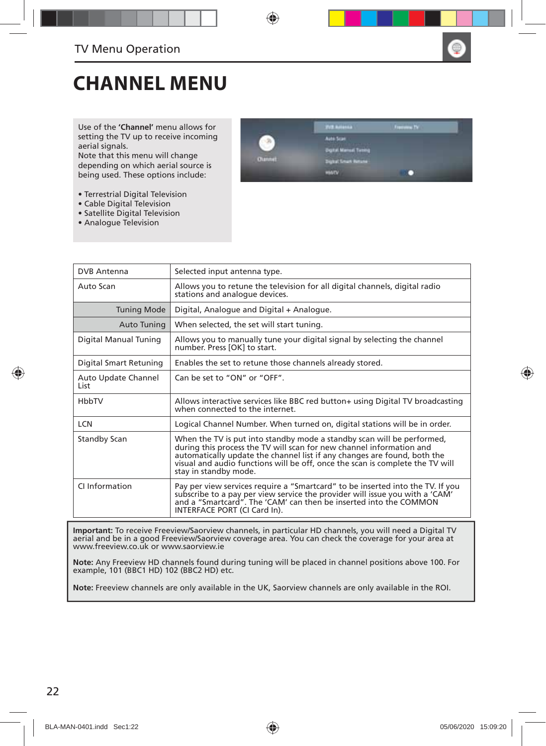

## **CHANNEL MENU**

Use of the **'Channel'** menu allows for setting the TV up to receive incoming aerial signals.

Note that this menu will change depending on which aerial source is being used. These options include:

- Terrestrial Digital Television
- Cable Digital Television
- Satellite Digital Television
- Analogue Television



| <b>DVB Antenna</b>           | Selected input antenna type.                                                                                                                                                                                                                                                                                                         |
|------------------------------|--------------------------------------------------------------------------------------------------------------------------------------------------------------------------------------------------------------------------------------------------------------------------------------------------------------------------------------|
| Auto Scan                    | Allows you to retune the television for all digital channels, digital radio<br>stations and analogue devices.                                                                                                                                                                                                                        |
| <b>Tuning Mode</b>           | Digital, Analogue and Digital + Analogue.                                                                                                                                                                                                                                                                                            |
| Auto Tuning                  | When selected, the set will start tuning.                                                                                                                                                                                                                                                                                            |
| Digital Manual Tuning        | Allows you to manually tune your digital signal by selecting the channel<br>number. Press [OK] to start.                                                                                                                                                                                                                             |
| Digital Smart Retuning       | Enables the set to retune those channels already stored.                                                                                                                                                                                                                                                                             |
| Auto Update Channel<br>l ist | Can be set to "ON" or "OFF".                                                                                                                                                                                                                                                                                                         |
| HbbTV                        | Allows interactive services like BBC red button+ using Digital TV broadcasting<br>when connected to the internet.                                                                                                                                                                                                                    |
| <b>LCN</b>                   | Logical Channel Number. When turned on, digital stations will be in order.                                                                                                                                                                                                                                                           |
| <b>Standby Scan</b>          | When the TV is put into standby mode a standby scan will be performed,<br>during this process the TV will scan for new channel information and<br>automatically update the channel list if any changes are found, both the<br>visual and audio functions will be off, once the scan is complete the TV will<br>stay in standby mode. |
| CI Information               | Pay per view services require a "Smartcard" to be inserted into the TV. If you<br>subscribe to a pay per view service the provider will issue you with a 'CAM'<br>and a "Smartcard". The 'CAM' can then be inserted into the COMMON<br>INTERFACE PORT (CI Card In).                                                                  |

**Important:** To receive Freeview/Saorview channels, in particular HD channels, you will need a Digital TV aerial and be in a good Freeview/Saorview coverage area. You can check the coverage for your area at www.freeview.co.uk or www.saorview.ie

**Note:** Any Freeview HD channels found during tuning will be placed in channel positions above 100. For example, 101 (BBC1 HD) 102 (BBC2 HD) etc.

**Note:** Freeview channels are only available in the UK, Saorview channels are only available in the ROI.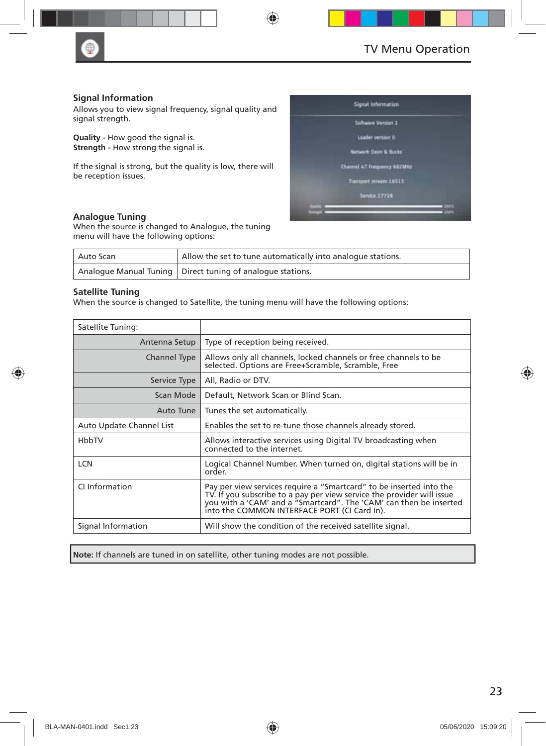

#### **Signal Information**

Allows you to view signal frequency, signal quality and signal strength.

**Quality -** How good the signal is. **Strength - How strong the signal is.** 

If the signal is strong, but the quality is low, there will be reception issues.

#### **Analogue Tuning**

When the source is changed to Analogue, the tuning menu will have the following options:

| Auto Scan | Allow the set to tune automatically into analogue stations.  |
|-----------|--------------------------------------------------------------|
|           | Analogue Manual Tuning   Direct tuning of analogue stations. |

#### **Satellite Tuning**

When the source is changed to Satellite, the tuning menu will have the following options:

| Satellite Tuning:        |                                                                                                                                                                                                                                                                     |
|--------------------------|---------------------------------------------------------------------------------------------------------------------------------------------------------------------------------------------------------------------------------------------------------------------|
| Antenna Setup            | Type of reception being received.                                                                                                                                                                                                                                   |
| Channel Type             | Allows only all channels, locked channels or free channels to be<br>selected. Options are Free+Scramble, Scramble, Free                                                                                                                                             |
| Service Type             | All, Radio or DTV.                                                                                                                                                                                                                                                  |
| Scan Mode                | Default, Network Scan or Blind Scan.                                                                                                                                                                                                                                |
| Auto Tune                | Tunes the set automatically.                                                                                                                                                                                                                                        |
| Auto Update Channel List | Enables the set to re-tune those channels already stored.                                                                                                                                                                                                           |
| HbbTV                    | Allows interactive services using Digital TV broadcasting when<br>connected to the internet.                                                                                                                                                                        |
| <b>LCN</b>               | Logical Channel Number. When turned on, digital stations will be in<br>order.                                                                                                                                                                                       |
| CI Information           | Pay per view services require a "Smartcard" to be inserted into the<br>TV. If you subscribe to a pay per view service the provider will issue<br>you with a 'CAM' and a "Smartcard". The 'CAM' can then be inserted<br>into the COMMON INTERFACE PORT (CI Card In). |
| Signal Information       | Will show the condition of the received satellite signal.                                                                                                                                                                                                           |

**Note:** If channels are tuned in on satellite, other tuning modes are not possible.



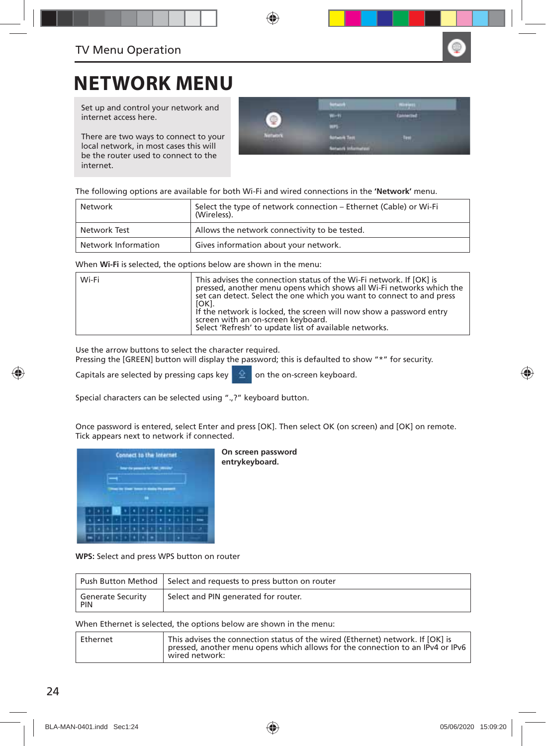

### **NETWORK MENU**

Set up and control your network and internet access here.

There are two ways to connect to your local network, in most cases this will be the router used to connect to the internet.

|                          | <b>STATISTICS</b>  |                        |
|--------------------------|--------------------|------------------------|
|                          | m                  | <b>THE R. P. LEWIS</b> |
|                          | ٠                  |                        |
| <b>Contract Contract</b> | <b>Utwirk Tast</b> | ш                      |
|                          | emates?            |                        |

The following options are available for both Wi-Fi and wired connections in the **'Network'** menu.

| Network             | Select the type of network connection – Ethernet (Cable) or Wi-Fi<br>(Wireless). |
|---------------------|----------------------------------------------------------------------------------|
| Network Test        | Allows the network connectivity to be tested.                                    |
| Network Information | Gives information about your network.                                            |

When **Wi-Fi** is selected, the options below are shown in the menu:

| Wi-Fi | This advises the connection status of the Wi-Fi network. If [OK] is<br>pressed, another menu opens which shows all Wi-Fi networks which the<br>set can detect. Select the one which you want to connect to and press<br>[OK].<br>If the network is locked, the screen will now show a password entry<br>screen with an on-screen keyboard. |
|-------|--------------------------------------------------------------------------------------------------------------------------------------------------------------------------------------------------------------------------------------------------------------------------------------------------------------------------------------------|
|       | Select 'Refresh' to update list of available networks.                                                                                                                                                                                                                                                                                     |

Use the arrow buttons to select the character required.

Pressing the [GREEN] button will display the password; this is defaulted to show "\*" for security.

Capitals are selected by pressing caps key  $\|\hat{\mathbf{\Omega}}\|$  on the on-screen keyboard.

Special characters can be selected using ".,?" keyboard button.

Once password is entered, select Enter and press [OK]. Then select OK (on screen) and [OK] on remote. Tick appears next to network if connected.



**On screen password entrykeyboard.**

**WPS:** Select and press WPS button on router

|                                        | Push Button Method Select and requests to press button on router |
|----------------------------------------|------------------------------------------------------------------|
| <b>Generate Security</b><br><b>PIN</b> | Select and PIN generated for router.                             |

When Ethernet is selected, the options below are shown in the menu:

| wired network: | Ethernet | This advises the connection status of the wired (Ethernet) network. If [OK] is<br>pressed, another menu opens which allows for the connection to an IPv4 or IPv6 |
|----------------|----------|------------------------------------------------------------------------------------------------------------------------------------------------------------------|
|----------------|----------|------------------------------------------------------------------------------------------------------------------------------------------------------------------|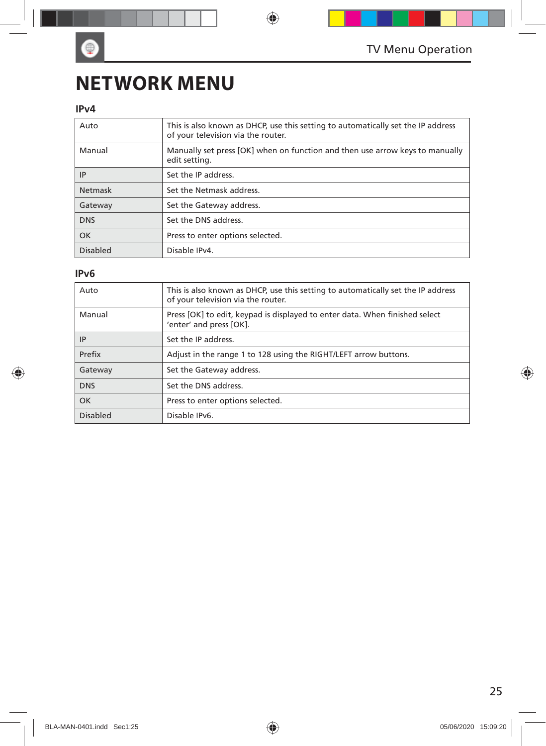## **NETWORK MENU**

### **IPv4**

 $\bullet$ 

| Auto       | This is also known as DHCP, use this setting to automatically set the IP address<br>of your television via the router. |
|------------|------------------------------------------------------------------------------------------------------------------------|
| Manual     | Manually set press [OK] when on function and then use arrow keys to manually<br>edit setting.                          |
| IP         | Set the IP address.                                                                                                    |
| Netmask    | Set the Netmask address.                                                                                               |
| Gateway    | Set the Gateway address.                                                                                               |
| <b>DNS</b> | Set the DNS address.                                                                                                   |
| <b>OK</b>  | Press to enter options selected.                                                                                       |
| Disabled   | Disable IPv4.                                                                                                          |

### **IPv6**

| Auto       | This is also known as DHCP, use this setting to automatically set the IP address<br>of your television via the router. |
|------------|------------------------------------------------------------------------------------------------------------------------|
| Manual     | Press [OK] to edit, keypad is displayed to enter data. When finished select<br>'enter' and press [OK].                 |
| ΙP         | Set the IP address.                                                                                                    |
| Prefix     | Adjust in the range 1 to 128 using the RIGHT/LEFT arrow buttons.                                                       |
| Gateway    | Set the Gateway address.                                                                                               |
| <b>DNS</b> | Set the DNS address.                                                                                                   |
| OK         | Press to enter options selected.                                                                                       |
| Disabled   | Disable IPv6.                                                                                                          |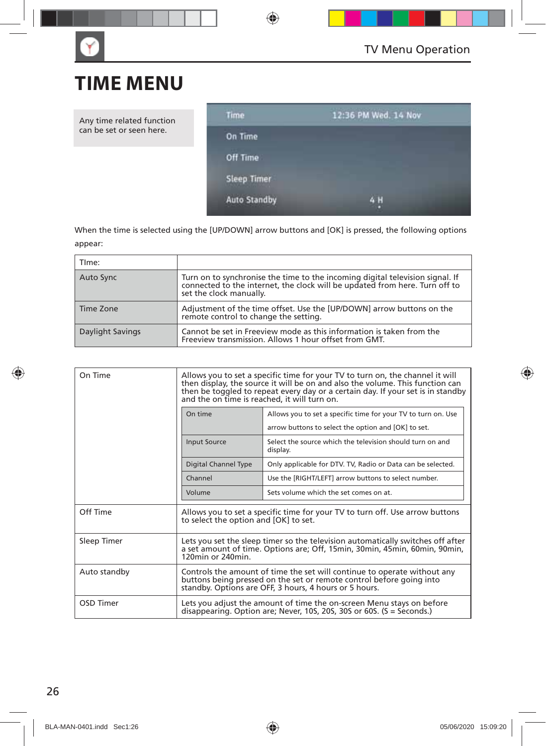## **TIME MENU**

Any time related function can be set or seen here.



When the time is selected using the [UP/DOWN] arrow buttons and [OK] is pressed, the following options appear:

| TIme:            |                                                                                                                                                                                      |
|------------------|--------------------------------------------------------------------------------------------------------------------------------------------------------------------------------------|
| Auto Sync        | Turn on to synchronise the time to the incoming digital television signal. If connected to the internet, the clock will be updated from here. Turn off to<br>set the clock manually. |
| Time Zone        | Adjustment of the time offset. Use the [UP/DOWN] arrow buttons on the<br>remote control to change the setting.                                                                       |
| Daylight Savings | Cannot be set in Freeview mode as this information is taken from the<br>Freeview transmission. Allows 1 hour offset from GMT.                                                        |

| On Time      | Allows you to set a specific time for your TV to turn on, the channel it will<br>then display, the source it will be on and also the volume. This function can<br>then be toggled to repeat every day or a certain day. If your set is in standby<br>and the on time is reached, it will turn on. |                                                                                                                                                         |  |
|--------------|---------------------------------------------------------------------------------------------------------------------------------------------------------------------------------------------------------------------------------------------------------------------------------------------------|---------------------------------------------------------------------------------------------------------------------------------------------------------|--|
|              | On time                                                                                                                                                                                                                                                                                           | Allows you to set a specific time for your TV to turn on. Use<br>arrow buttons to select the option and [OK] to set.                                    |  |
|              | <b>Input Source</b>                                                                                                                                                                                                                                                                               | Select the source which the television should turn on and<br>display.                                                                                   |  |
|              | Digital Channel Type                                                                                                                                                                                                                                                                              | Only applicable for DTV. TV, Radio or Data can be selected.                                                                                             |  |
|              | Channel                                                                                                                                                                                                                                                                                           | Use the [RIGHT/LEFT] arrow buttons to select number.                                                                                                    |  |
|              | Volume                                                                                                                                                                                                                                                                                            | Sets volume which the set comes on at.                                                                                                                  |  |
| Off Time     | Allows you to set a specific time for your TV to turn off. Use arrow buttons<br>to select the option and [OK] to set.                                                                                                                                                                             |                                                                                                                                                         |  |
| Sleep Timer  | Lets you set the sleep timer so the television automatically switches off after<br>a set amount of time. Options are: Off, 15min, 30min, 45min, 60min, 90min,<br>$120$ min or $240$ min                                                                                                           |                                                                                                                                                         |  |
| Auto standby | Controls the amount of time the set will continue to operate without any<br>buttons being pressed on the set or remote control before going into<br>standby. Options are OFF, 3 hours, 4 hours or 5 hours.                                                                                        |                                                                                                                                                         |  |
| OSD Timer    |                                                                                                                                                                                                                                                                                                   | Lets you adjust the amount of time the on-screen Menu stays on before<br>disappearing. Option are; Never, 10S, 20S, 30S or 60S. $(S = \text{seconds.})$ |  |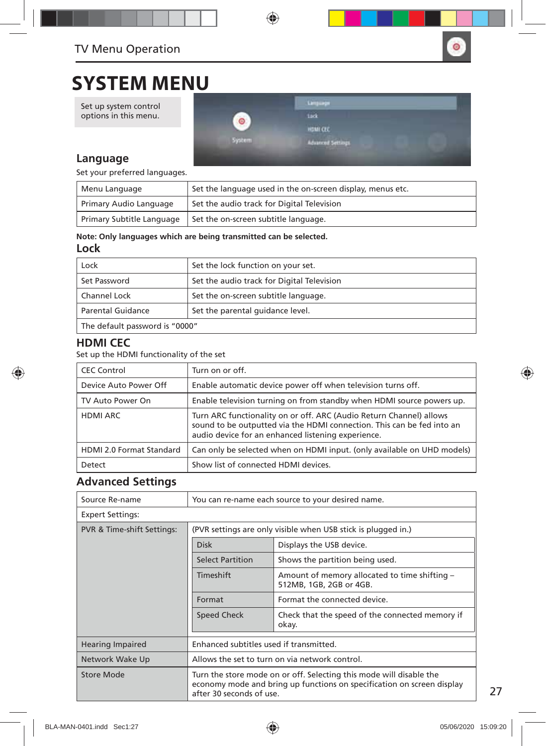

### **SYSTEM MENU**

Set up system control options in this menu.



### **Language**

Set your preferred languages.

| Menu Language             | Set the language used in the on-screen display, menus etc. |
|---------------------------|------------------------------------------------------------|
| Primary Audio Language    | Set the audio track for Digital Television                 |
| Primary Subtitle Language | Set the on-screen subtitle language.                       |

#### **Note: Only languages which are being transmitted can be selected.**

### **Lock**

| Lock                           | Set the lock function on your set.         |
|--------------------------------|--------------------------------------------|
| Set Password                   | Set the audio track for Digital Television |
| Channel Lock                   | Set the on-screen subtitle language.       |
| <b>Parental Guidance</b>       | Set the parental quidance level.           |
| The default password is "0000" |                                            |

### **HDMI CEC**

Set up the HDMI functionality of the set

| <b>CEC Control</b>              | Turn on or off.                                                                                                                                                                                     |
|---------------------------------|-----------------------------------------------------------------------------------------------------------------------------------------------------------------------------------------------------|
| Device Auto Power Off           | Enable automatic device power off when television turns off.                                                                                                                                        |
| TV Auto Power On                | Enable television turning on from standby when HDMI source powers up.                                                                                                                               |
| <b>HDMI ARC</b>                 | Turn ARC functionality on or off. ARC (Audio Return Channel) allows<br>sound to be outputted via the HDMI connection. This can be fed into an<br>audio device for an enhanced listening experience. |
| <b>HDMI 2.0 Format Standard</b> | Can only be selected when on HDMI input. (only available on UHD models)                                                                                                                             |
| Detect                          | Show list of connected HDMI devices.                                                                                                                                                                |

### **Advanced Settings**

| Source Re-name             | You can re-name each source to your desired name.                                                                                                                         |                                                                          |  |
|----------------------------|---------------------------------------------------------------------------------------------------------------------------------------------------------------------------|--------------------------------------------------------------------------|--|
| <b>Expert Settings:</b>    |                                                                                                                                                                           |                                                                          |  |
| PVR & Time-shift Settings: | (PVR settings are only visible when USB stick is plugged in.)                                                                                                             |                                                                          |  |
|                            | <b>Disk</b>                                                                                                                                                               | Displays the USB device.                                                 |  |
|                            | <b>Select Partition</b>                                                                                                                                                   | Shows the partition being used.                                          |  |
|                            | Timeshift                                                                                                                                                                 | Amount of memory allocated to time shifting -<br>512MB, 1GB, 2GB or 4GB. |  |
|                            | Format                                                                                                                                                                    | Format the connected device.                                             |  |
|                            | <b>Speed Check</b>                                                                                                                                                        | Check that the speed of the connected memory if<br>okay.                 |  |
| <b>Hearing Impaired</b>    | Enhanced subtitles used if transmitted.                                                                                                                                   |                                                                          |  |
| Network Wake Up            | Allows the set to turn on via network control.                                                                                                                            |                                                                          |  |
| Store Mode                 | Turn the store mode on or off. Selecting this mode will disable the<br>economy mode and bring up functions on specification on screen display<br>after 30 seconds of use. |                                                                          |  |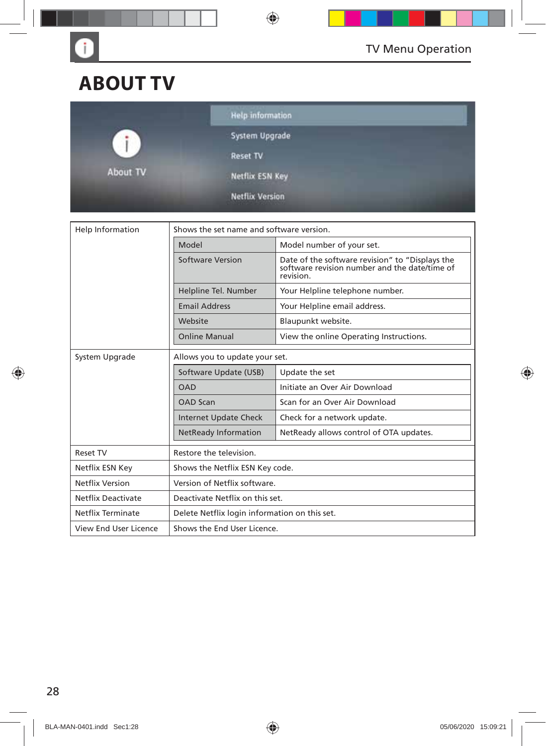

## **ABOUT TV**

G

|              | <b>Help information</b>                                              |  |
|--------------|----------------------------------------------------------------------|--|
| $\mathbf{I}$ | System Upgrade                                                       |  |
| Æ            | <b>Reset TV</b>                                                      |  |
| About TV     | Netflix ESN Key                                                      |  |
|              | <b>Netflix Version</b><br><b>All Constitutions and Constitutions</b> |  |

| Shows the set name and software version.<br>Help Information |                                               |                                                                                                               |  |
|--------------------------------------------------------------|-----------------------------------------------|---------------------------------------------------------------------------------------------------------------|--|
|                                                              | Model                                         | Model number of your set.                                                                                     |  |
|                                                              | <b>Software Version</b>                       | Date of the software revision" to "Displays the<br>software revision number and the date/time of<br>revision. |  |
|                                                              | Helpline Tel. Number                          | Your Helpline telephone number.                                                                               |  |
|                                                              | <b>Email Address</b>                          | Your Helpline email address.                                                                                  |  |
|                                                              | Website                                       | Blaupunkt website.                                                                                            |  |
|                                                              | <b>Online Manual</b>                          | View the online Operating Instructions.                                                                       |  |
| System Upgrade                                               | Allows you to update your set.                |                                                                                                               |  |
|                                                              | Software Update (USB)                         | Update the set                                                                                                |  |
|                                                              | <b>OAD</b>                                    | Initiate an Over Air Download                                                                                 |  |
|                                                              | <b>OAD Scan</b>                               | Scan for an Over Air Download                                                                                 |  |
|                                                              | <b>Internet Update Check</b>                  | Check for a network update.                                                                                   |  |
|                                                              | <b>NetReady Information</b>                   | NetReady allows control of OTA updates.                                                                       |  |
| <b>Reset TV</b>                                              | Restore the television.                       |                                                                                                               |  |
| Netflix ESN Key                                              | Shows the Netflix ESN Key code.               |                                                                                                               |  |
| <b>Netflix Version</b>                                       | Version of Netflix software.                  |                                                                                                               |  |
| <b>Netflix Deactivate</b>                                    | Deactivate Netflix on this set.               |                                                                                                               |  |
| Netflix Terminate                                            | Delete Netflix login information on this set. |                                                                                                               |  |
| View End User Licence                                        | Shows the End User Licence.                   |                                                                                                               |  |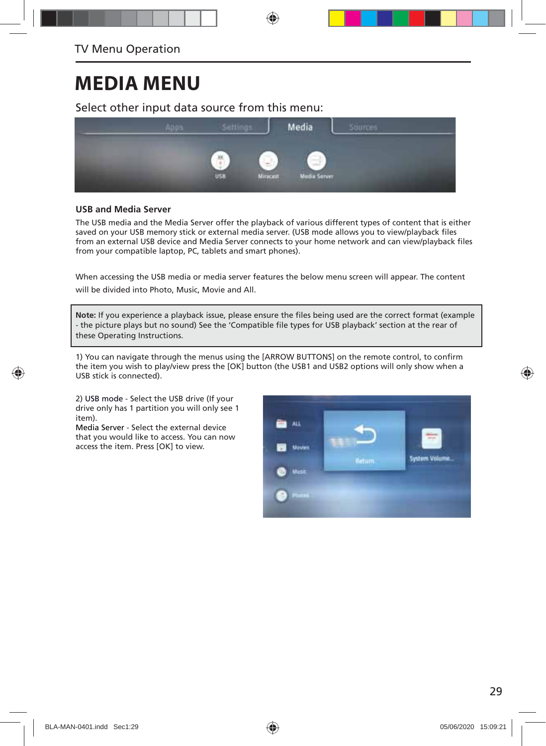## **MEDIA MENU**

Select other input data source from this menu:



#### **USB and Media Server**

The USB media and the Media Server offer the playback of various different types of content that is either saved on your USB memory stick or external media server. (USB mode allows you to view/playback files from an external USB device and Media Server connects to your home network and can view/playback files from your compatible laptop, PC, tablets and smart phones).

When accessing the USB media or media server features the below menu screen will appear. The content will be divided into Photo, Music, Movie and All.

Note: If you experience a playback issue, please ensure the files being used are the correct format (example - the picture plays but no sound) See the 'Compatible file types for USB playback' section at the rear of these Operating Instructions.

1) You can navigate through the menus using the [ARROW BUTTONS] on the remote control, to confirm the item you wish to play/view press the [OK] button (the USB1 and USB2 options will only show when a USB stick is connected).

2) USB mode - Select the USB drive (If your drive only has 1 partition you will only see 1 item).

Media Server - Select the external device that you would like to access. You can now access the item. Press [OK] to view.

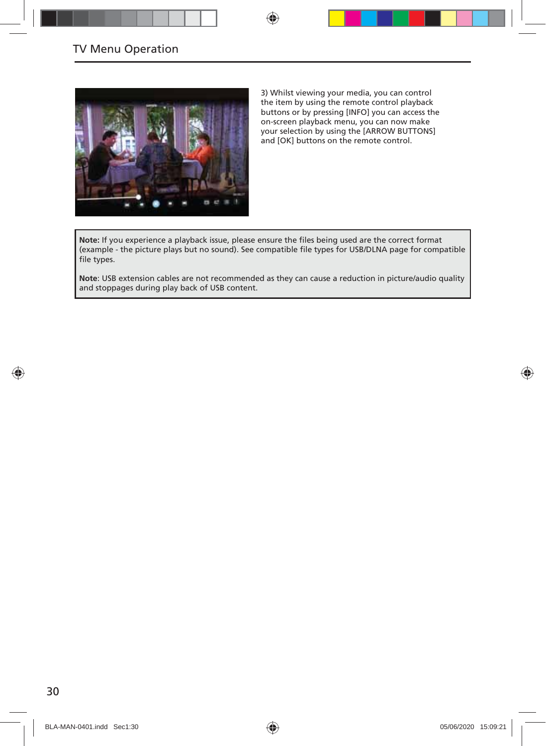

3) Whilst viewing your media, you can control the item by using the remote control playback buttons or by pressing [INFO] you can access the on-screen playback menu, you can now make your selection by using the [ARROW BUTTONS] and [OK] buttons on the remote control.

Note: If you experience a playback issue, please ensure the files being used are the correct format (example - the picture plays but no sound). See compatible file types for USB/DLNA page for compatible file types.

**Note**: USB extension cables are not recommended as they can cause a reduction in picture/audio quality and stoppages during play back of USB content.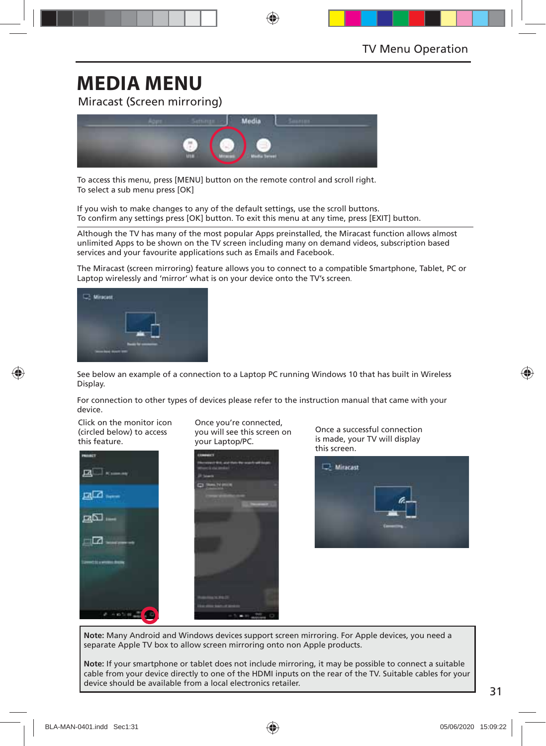## **MEDIA MENU**

Miracast (Screen mirroring)



To access this menu, press [MENU] button on the remote control and scroll right. To select a sub menu press [OK]

If you wish to make changes to any of the default settings, use the scroll buttons. To confirm any settings press [OK] button. To exit this menu at any time, press [EXIT] button.

Although the TV has many of the most popular Apps preinstalled, the Miracast function allows almost unlimited Apps to be shown on the TV screen including many on demand videos, subscription based services and your favourite applications such as Emails and Facebook.

The Miracast (screen mirroring) feature allows you to connect to a compatible Smartphone, Tablet, PC or Laptop wirelessly and 'mirror' what is on your device onto the TV's screen.



See below an example of a connection to a Laptop PC running Windows 10 that has built in Wireless Display.

For connection to other types of devices please refer to the instruction manual that came with your device.

Click on the monitor icon (circled below) to access this feature.



Once you're connected, you will see this screen on your Laptop/PC.



Once a successful connection is made, your TV will display

**Note:** Many Android and Windows devices support screen mirroring. For Apple devices, you need a separate Apple TV box to allow screen mirroring onto non Apple products.

**Note:** If your smartphone or tablet does not include mirroring, it may be possible to connect a suitable cable from your device directly to one of the HDMI inputs on the rear of the TV. Suitable cables for your device should be available from a local electronics retailer.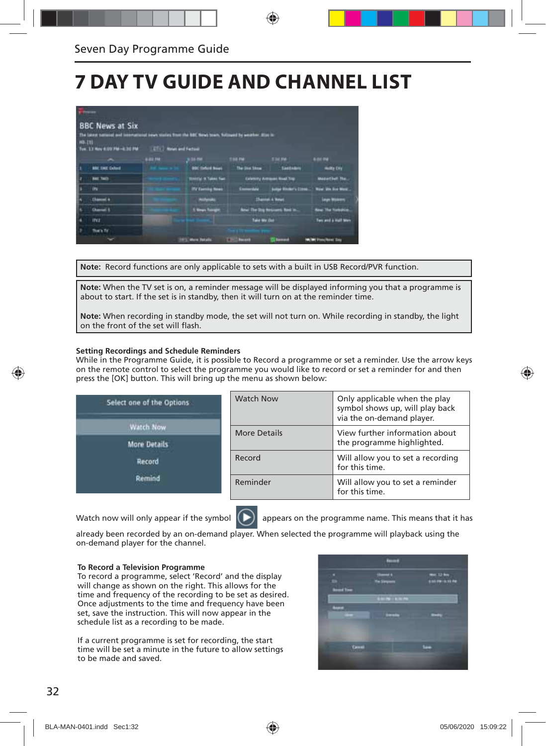## **7 DAY TV GUIDE AND CHANNEL LIST**

|               | <b>BBC News at Six</b><br>The latest satural and international news stories front the BBC News town, fullment by weather, drink in |         |                                 |                           |                                      |                                |
|---------------|------------------------------------------------------------------------------------------------------------------------------------|---------|---------------------------------|---------------------------|--------------------------------------|--------------------------------|
| <b>NB-21L</b> |                                                                                                                                    |         |                                 |                           |                                      |                                |
|               |                                                                                                                                    | 6-84.7M | \$34.00                         | T46 PM                    | <b>END PM 1</b>                      | 6.04.756                       |
|               | <b>MIC THE Culture</b>                                                                                                             |         | <b>BOC Column Stage</b>         | <b>The line Stow</b>      | <b>Santadore</b>                     | <b>Hultle Day</b>              |
|               | <b>Base Track</b>                                                                                                                  |         | <b>Stretch II Takes Two</b>     |                           | <b>Columny Arrested Road Top:</b>    | <b>MuderCluft The</b>          |
|               | <b>IFS</b>                                                                                                                         |         | ITY Exercise Name               | nista l                   | <b>Lake Books's Class </b>           | West We has Mass.              |
|               | <b>Chambel 4</b>                                                                                                                   |         | <b><i><u>ALIGNATION</u></i></b> |                           | <b>Shanker &amp; Wears</b>           | <b>Legal Middleton</b>         |
|               | <b>Chansel II</b>                                                                                                                  |         | <b>1. News Transport</b>        |                           | <b>And The Dry Newcastle Red in.</b> | <b>New The Nortralin</b>       |
|               | <b>INT</b>                                                                                                                         |         |                                 | Take My 250               |                                      | Two and a Half Men             |
|               | fian fr                                                                                                                            |         |                                 |                           |                                      |                                |
|               |                                                                                                                                    |         | 1975 Mon Totals                 | <b>SEARCH AND INCOME.</b> | <b>Lumps</b>                         | <b>In the Procedured State</b> |

**Note:** Record functions are only applicable to sets with a built in USB Record/PVR function.

**Note:** When the TV set is on, a reminder message will be displayed informing you that a programme is about to start. If the set is in standby, then it will turn on at the reminder time.

**Note:** When recording in standby mode, the set will not turn on. While recording in standby, the light on the front of the set will flash.

#### **Setting Recordings and Schedule Reminders**

While in the Programme Guide, it is possible to Record a programme or set a reminder. Use the arrow keys on the remote control to select the programme you would like to record or set a reminder for and then press the [OK] button. This will bring up the menu as shown below:

| Select one of the Options | <b>Watch Now</b> | Only applicable when the play<br>symbol shows up, will play back<br>via the on-demand player. |
|---------------------------|------------------|-----------------------------------------------------------------------------------------------|
| Watch Now                 | More Details     | View further information about                                                                |
| <b>More Details</b>       |                  | the programme highlighted.                                                                    |
| <b>Record</b>             | Record           | Will allow you to set a recording<br>for this time.                                           |
| Remind                    | Reminder         | Will allow you to set a reminder<br>for this time.                                            |



Watch now will only appear if the symbol  $\Box$  appears on the programme name. This means that it has

already been recorded by an on-demand player. When selected the programme will playback using the on-demand player for the channel.

#### **To Record a Television Programme**

To record a programme, select 'Record' and the display will change as shown on the right. This allows for the time and frequency of the recording to be set as desired. Once adjustments to the time and frequency have been set, save the instruction. This will now appear in the schedule list as a recording to be made.

If a current programme is set for recording, the start time will be set a minute in the future to allow settings to be made and saved.

an an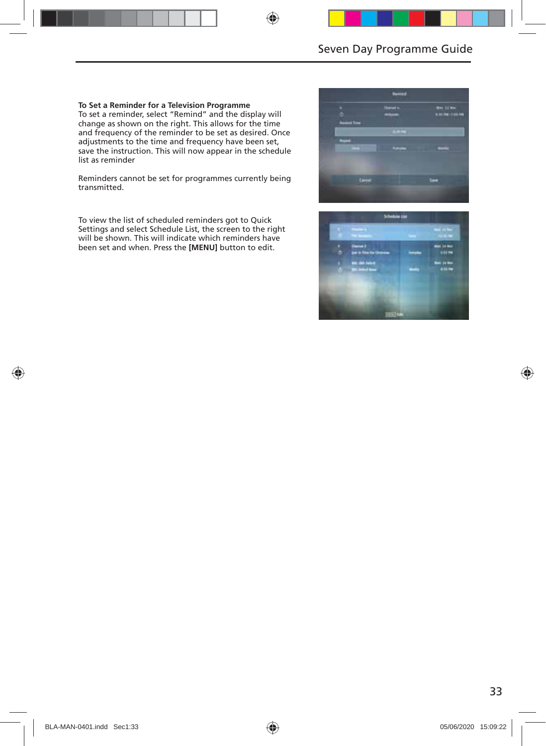#### **To Set a Reminder for a Television Programme**

To set a reminder, select "Remind" and the display will change as shown on the right. This allows for the time and frequency of the reminder to be set as desired. Once adjustments to the time and frequency have been set, save the instruction. This will now appear in the schedule list as reminder

Reminders cannot be set for programmes currently being transmitted.

To view the list of scheduled reminders got to Quick Settings and select Schedule List, the screen to the right will be shown. This will indicate which reminders have been set and when. Press the **[MENU]** button to edit.



|  | <b>Contract Contract Contract</b>              |    | <b><i><u>Profit Administration</u></i></b> |
|--|------------------------------------------------|----|--------------------------------------------|
|  | States I<br>Anti-Frankrijke                    | -- | del is be-<br>11174                        |
|  | <b>Civil Subst</b><br><b>MC School Service</b> |    | <b>Box 34 loss</b><br><b>Killing</b>       |
|  |                                                |    |                                            |
|  |                                                |    |                                            |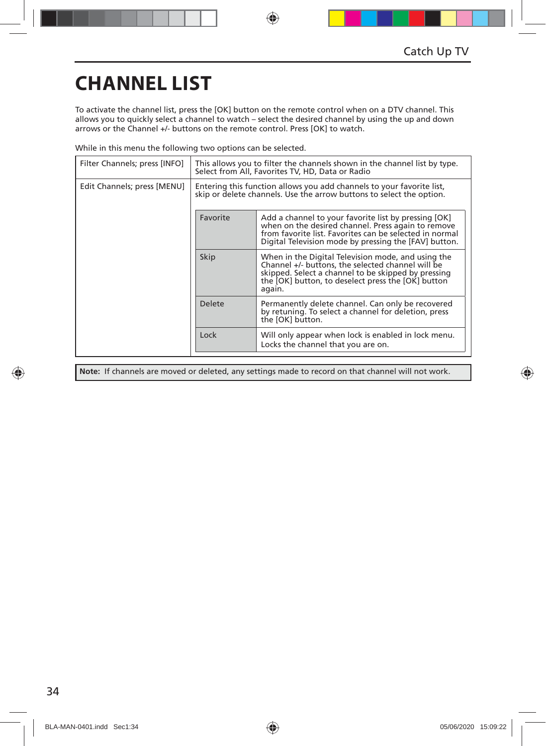## **CHANNEL LIST**

To activate the channel list, press the [OK] button on the remote control when on a DTV channel. This allows you to quickly select a channel to watch – select the desired channel by using the up and down arrows or the Channel +/- buttons on the remote control. Press [OK] to watch.

While in this menu the following two options can be selected.

| Filter Channels; press [INFO] | This allows you to filter the channels shown in the channel list by type.<br>Select from All, Favorites TV, HD, Data or Radio                 |                                                                                                                                                                                                                                |  |
|-------------------------------|-----------------------------------------------------------------------------------------------------------------------------------------------|--------------------------------------------------------------------------------------------------------------------------------------------------------------------------------------------------------------------------------|--|
| Edit Channels; press [MENU]   | Entering this function allows you add channels to your favorite list,<br>skip or delete channels. Use the arrow buttons to select the option. |                                                                                                                                                                                                                                |  |
|                               | Favorite                                                                                                                                      | Add a channel to your favorite list by pressing [OK]<br>when on the desired channel. Press again to remove<br>from favorite list. Favorites can be selected in normal<br>Digital Television mode by pressing the [FAV] button. |  |
|                               | Skip                                                                                                                                          | When in the Digital Television mode, and using the<br>Channel +/- buttons, the selected channel will be<br>skipped. Select a channel to be skipped by pressing<br>the [OK] button, to deselect press the [OK] button<br>again. |  |
|                               | <b>Delete</b>                                                                                                                                 | Permanently delete channel. Can only be recovered<br>by retuning. To select a channel for deletion, press<br>the [OK] button.                                                                                                  |  |
|                               | Lock                                                                                                                                          | Will only appear when lock is enabled in lock menu.<br>Locks the channel that you are on.                                                                                                                                      |  |

**Note:** If channels are moved or deleted, any settings made to record on that channel will not work.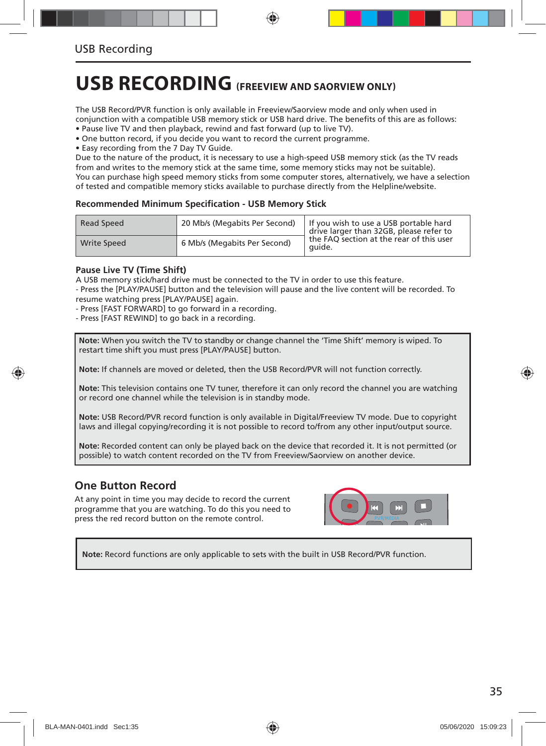## **USB RECORDING (FREEVIEW AND SAORVIEW ONLY)**

The USB Record/PVR function is only available in Freeview/Saorview mode and only when used in conjunction with a compatible USB memory stick or USB hard drive. The benefits of this are as follows:

• Pause live TV and then playback, rewind and fast forward (up to live TV).

• One button record, if you decide you want to record the current programme.

• Easy recording from the 7 Day TV Guide.

Due to the nature of the product, it is necessary to use a high-speed USB memory stick (as the TV reads from and writes to the memory stick at the same time, some memory sticks may not be suitable). You can purchase high speed memory sticks from some computer stores, alternatively, we have a selection of tested and compatible memory sticks available to purchase directly from the Helpline/website.

#### **Recommended Minimum Specifi cation - USB Memory Stick**

| Read Speed         | 20 Mb/s (Megabits Per Second) | If you wish to use a USB portable hard<br>drive larger than 32GB, please refer to |
|--------------------|-------------------------------|-----------------------------------------------------------------------------------|
| <b>Write Speed</b> | 6 Mb/s (Megabits Per Second)  | the FAO section at the rear of this user<br>quide.                                |

#### **Pause Live TV (Time Shift)**

A USB memory stick/hard drive must be connected to the TV in order to use this feature. - Press the [PLAY/PAUSE] button and the television will pause and the live content will be recorded. To resume watching press [PLAY/PAUSE] again.

- Press [FAST FORWARD] to go forward in a recording.

- Press [FAST REWIND] to go back in a recording.

**Note:** When you switch the TV to standby or change channel the 'Time Shift' memory is wiped. To restart time shift you must press [PLAY/PAUSE] button.

**Note:** If channels are moved or deleted, then the USB Record/PVR will not function correctly.

**Note:** This television contains one TV tuner, therefore it can only record the channel you are watching or record one channel while the television is in standby mode.

**Note:** USB Record/PVR record function is only available in Digital/Freeview TV mode. Due to copyright laws and illegal copying/recording it is not possible to record to/from any other input/output source.

**Note:** Recorded content can only be played back on the device that recorded it. It is not permitted (or possible) to watch content recorded on the TV from Freeview/Saorview on another device.

### **One Button Record**

At any point in time you may decide to record the current programme that you are watching. To do this you need to press the red record button on the remote control.



**Note:** Record functions are only applicable to sets with the built in USB Record/PVR function.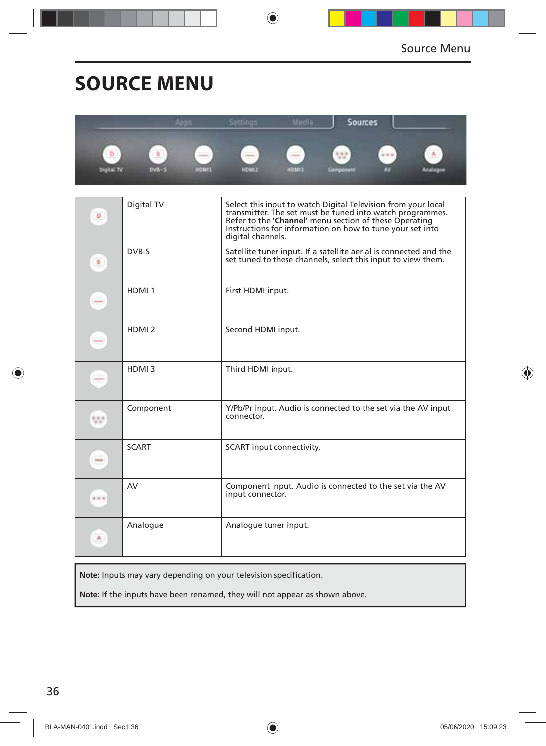## **SOURCE MENU**

|                        |                                   | ងោល                                               | ettings                       | <b>ICLE</b>  | Sources             |           |               |
|------------------------|-----------------------------------|---------------------------------------------------|-------------------------------|--------------|---------------------|-----------|---------------|
| Þ<br><b>Olgital TV</b> | 5<br><b>STATISTICS</b><br>$DVM-5$ | <b>Contract Contract Contract</b><br><b>HOMES</b> | ---<br>-<br>-<br><b>SINGH</b> | <b>CINOH</b> | $-4.4$<br>Cumponent | <b>AV</b> | А<br>Analogue |

| D            | Digital TV        | Select this input to watch Digital Television from your local<br>transmitter. The set must be tuned into watch programmes.<br>Refer to the 'Channel' menu section of these Operating<br>Instructions for information on how to tune your set into<br>digital channels. |
|--------------|-------------------|------------------------------------------------------------------------------------------------------------------------------------------------------------------------------------------------------------------------------------------------------------------------|
| S            | DVB-S             | Satellite tuner input. If a satellite aerial is connected and the<br>set tuned to these channels, select this input to view them.                                                                                                                                      |
| $-$          | HDMI <sub>1</sub> | First HDMI input.                                                                                                                                                                                                                                                      |
| -            | HDMI <sub>2</sub> | Second HDMI input.                                                                                                                                                                                                                                                     |
| -            | HDMI3             | Third HDMI input.                                                                                                                                                                                                                                                      |
| 55           | Component         | Y/Pb/Pr input. Audio is connected to the set via the AV input<br>connector.                                                                                                                                                                                            |
| <b>STATE</b> | <b>SCART</b>      | SCART input connectivity.                                                                                                                                                                                                                                              |
| ala ki       | AV                | Component input. Audio is connected to the set via the AV<br>input connector.                                                                                                                                                                                          |
| ٨.           | Analogue          | Analogue tuner input.                                                                                                                                                                                                                                                  |

Note: Inputs may vary depending on your television specification.

**Note:** If the inputs have been renamed, they will not appear as shown above.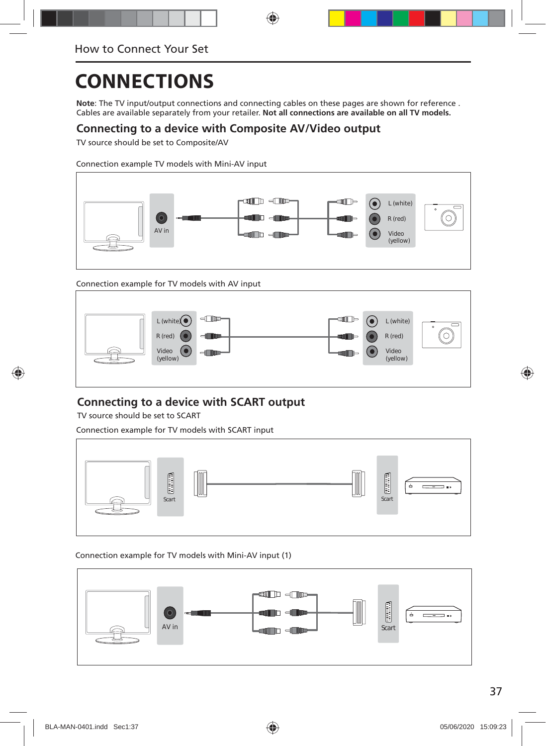**Note**: The TV input/output connections and connecting cables on these pages are shown for reference . Cables are available separately from your retailer. **Not all connections are available on all TV models.**

### **Connecting to a device with Composite AV/Video output**

TV source should be set to Composite/AV

Connection example TV models with Mini-AV input



Connection example for TV models with AV input



### **Connecting to a device with SCART output**

TV source should be set to SCART

Connection example for TV models with SCART input



#### Connection example for TV models with Mini-AV input (1)

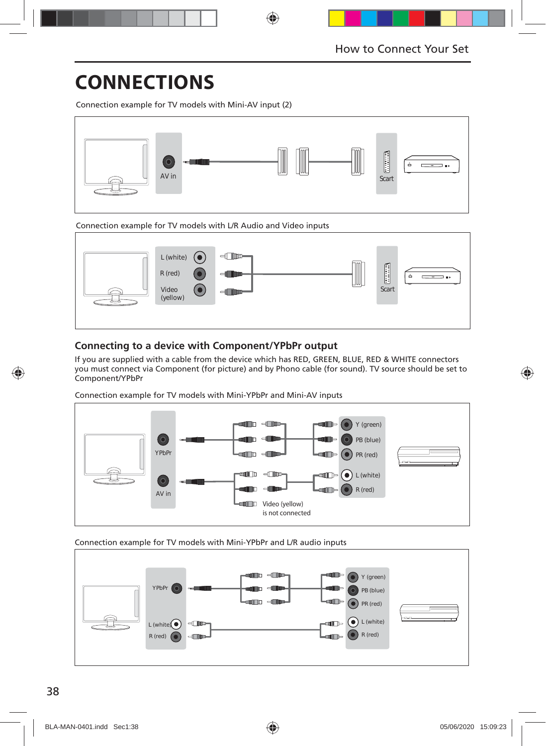Connection example for TV models with Mini-AV input (2)



Connection example for TV models with L/R Audio and Video inputs



### **Connecting to a device with Component/YPbPr output**

If you are supplied with a cable from the device which has RED, GREEN, BLUE, RED & WHITE connectors you must connect via Component (for picture) and by Phono cable (for sound). TV source should be set to Component/YPbPr

Connection example for TV models with Mini-YPbPr and Mini-AV inputs



Connection example for TV models with Mini-YPbPr and L/R audio inputs

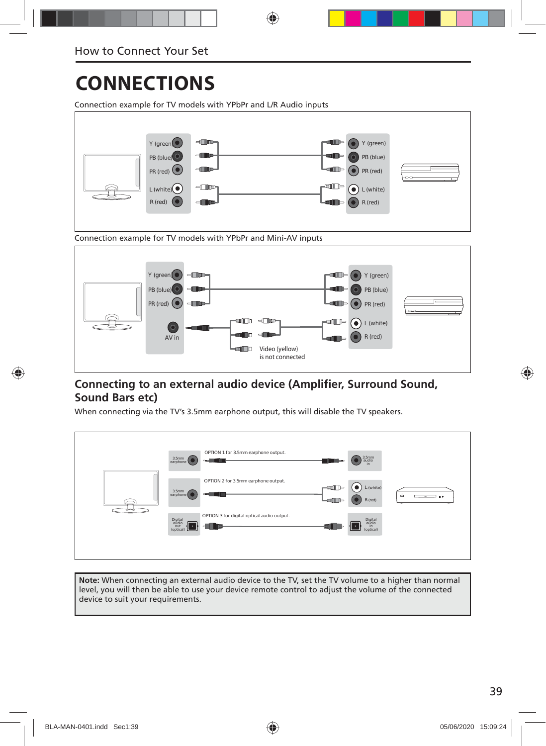Connection example for TV models with YPbPr and L/R Audio inputs





### **Connecting to an external audio device (Amplifier, Surround Sound, Sound Bars etc)**

When connecting via the TV's 3.5mm earphone output, this will disable the TV speakers.

| OPTION 1 for 3.5mm earphone output.<br>$\begin{array}{c} 3.5\text{mm} \\ \text{audio}\\ \text{in} \end{array}$<br>3.5mm<br>earphone<br>$-$<br><b>Lup</b>                             |
|--------------------------------------------------------------------------------------------------------------------------------------------------------------------------------------|
| OPTION 2 for 3.5mm earphone output.<br>$\left( \bullet \right)$<br>L (white)<br>⊪⊫<br>3.5mm<br>earphone<br><b>card</b><br>$\dot{=}$<br>—<br>$\mathbf{B}$ is<br>$-$ an $-$<br>R (red) |
| OPTION 3 for digital optical audio output.<br>Digital<br>audio<br>out<br>(optical)<br>Digital<br>audio<br>in<br>(optical)<br>$\cdot$                                                 |

**Note:** When connecting an external audio device to the TV, set the TV volume to a higher than normal level, you will then be able to use your device remote control to adjust the volume of the connected device to suit your requirements.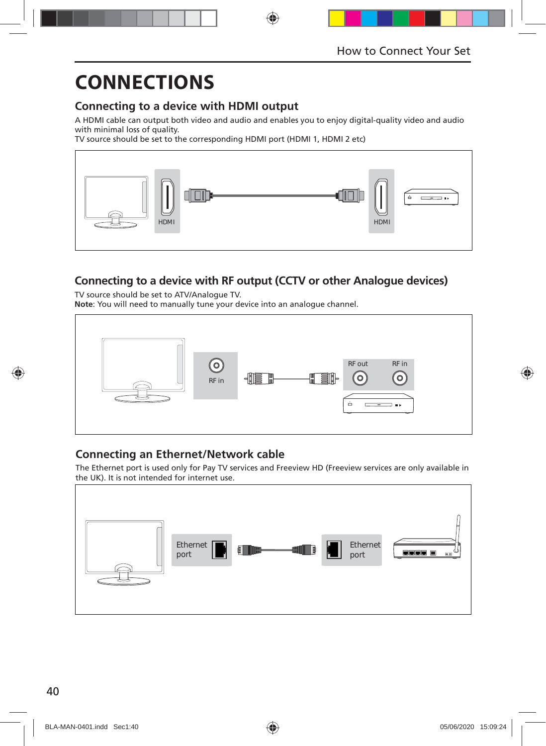### **Connecting to a device with HDMI output**

A HDMI cable can output both video and audio and enables you to enjoy digital-quality video and audio with minimal loss of quality.

TV source should be set to the corresponding HDMI port (HDMI 1, HDMI 2 etc)



### **Connecting to a device with RF output (CCTV or other Analogue devices)**

TV source should be set to ATV/Analogue TV. **Note**: You will need to manually tune your device into an analogue channel.



### **Connecting an Ethernet/Network cable**

The Ethernet port is used only for Pay TV services and Freeview HD (Freeview services are only available in the UK). It is not intended for internet use.

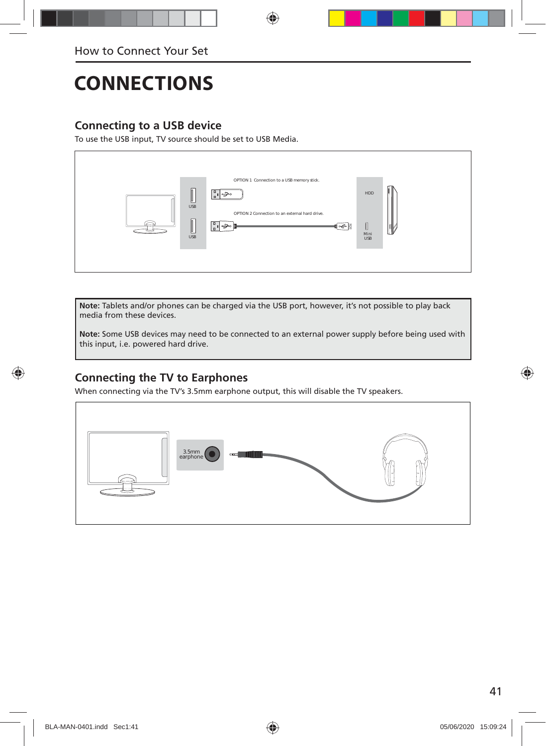### **Connecting to a USB device**

To use the USB input, TV source should be set to USB Media.



**Note:** Tablets and/or phones can be charged via the USB port, however, it's not possible to play back media from these devices.

**Note:** Some USB devices may need to be connected to an external power supply before being used with this input, i.e. powered hard drive.

### **Connecting the TV to Earphones**

When connecting via the TV's 3.5mm earphone output, this will disable the TV speakers.

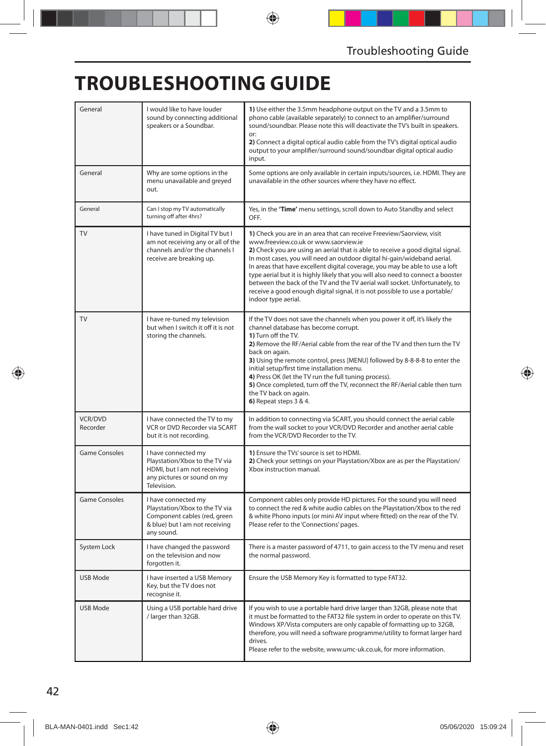## **TROUBLESHOOTING GUIDE**

| General                    | I would like to have louder<br>sound by connecting additional<br>speakers or a Soundbar.                                              | 1) Use either the 3.5mm headphone output on the TV and a 3.5mm to<br>phono cable (available separately) to connect to an amplifier/surround<br>sound/soundbar. Please note this will deactivate the TV's built in speakers.<br>or:<br>2) Connect a digital optical audio cable from the TV's digital optical audio<br>output to your amplifier/surround sound/soundbar digital optical audio<br>input.                                                                                                                                                                                                                                 |
|----------------------------|---------------------------------------------------------------------------------------------------------------------------------------|----------------------------------------------------------------------------------------------------------------------------------------------------------------------------------------------------------------------------------------------------------------------------------------------------------------------------------------------------------------------------------------------------------------------------------------------------------------------------------------------------------------------------------------------------------------------------------------------------------------------------------------|
| General                    | Why are some options in the<br>menu unavailable and greyed<br>out.                                                                    | Some options are only available in certain inputs/sources, i.e. HDMI. They are<br>unavailable in the other sources where they have no effect.                                                                                                                                                                                                                                                                                                                                                                                                                                                                                          |
| General                    | Can I stop my TV automatically<br>turning off after 4hrs?                                                                             | Yes, in the 'Time' menu settings, scroll down to Auto Standby and select<br>OFF                                                                                                                                                                                                                                                                                                                                                                                                                                                                                                                                                        |
| TV                         | I have tuned in Digital TV but I<br>am not receiving any or all of the<br>channels and/or the channels I<br>receive are breaking up.  | 1) Check you are in an area that can receive Freeview/Saorview, visit<br>www.freeview.co.uk or www.saorview.ie<br>2) Check you are using an aerial that is able to receive a good digital signal.<br>In most cases, you will need an outdoor digital hi-gain/wideband aerial.<br>In areas that have excellent digital coverage, you may be able to use a loft<br>type aerial but it is highly likely that you will also need to connect a booster<br>between the back of the TV and the TV aerial wall socket. Unfortunately, to<br>receive a good enough digital signal, it is not possible to use a portable/<br>indoor type aerial. |
| <b>TV</b>                  | I have re-tuned my television<br>but when I switch it off it is not<br>storing the channels.                                          | If the TV does not save the channels when you power it off, it's likely the<br>channel database has become corrupt.<br>1) Turn off the TV.<br>2) Remove the RF/Aerial cable from the rear of the TV and then turn the TV<br>back on again.<br>3) Using the remote control, press [MENU] followed by 8-8-8-8 to enter the<br>initial setup/first time installation menu.<br>4) Press OK (let the TV run the full tuning process).<br>5) Once completed, turn off the TV, reconnect the RF/Aerial cable then turn<br>the TV back on again.<br>6) Repeat steps 3 & 4.                                                                     |
| <b>VCR/DVD</b><br>Recorder | I have connected the TV to my<br>VCR or DVD Recorder via SCART<br>but it is not recording.                                            | In addition to connecting via SCART, you should connect the aerial cable<br>from the wall socket to your VCR/DVD Recorder and another aerial cable<br>from the VCR/DVD Recorder to the TV.                                                                                                                                                                                                                                                                                                                                                                                                                                             |
| <b>Game Consoles</b>       | I have connected my<br>Playstation/Xbox to the TV via<br>HDMI, but I am not receiving<br>any pictures or sound on my<br>Television.   | 1) Ensure the TVs' source is set to HDMI.<br>2) Check your settings on your Playstation/Xbox are as per the Playstation/<br>Xbox instruction manual.                                                                                                                                                                                                                                                                                                                                                                                                                                                                                   |
| <b>Game Consoles</b>       | I have connected my<br>Playstation/Xbox to the TV via<br>Component cables (red, green<br>& blue) but I am not receiving<br>any sound. | Component cables only provide HD pictures. For the sound you will need<br>to connect the red & white audio cables on the Playstation/Xbox to the red<br>& white Phono inputs (or mini AV input where fitted) on the rear of the TV.<br>Please refer to the 'Connections' pages.                                                                                                                                                                                                                                                                                                                                                        |
| System Lock                | I have changed the password<br>on the television and now<br>forgotten it.                                                             | There is a master password of 4711, to gain access to the TV menu and reset<br>the normal password.                                                                                                                                                                                                                                                                                                                                                                                                                                                                                                                                    |
| USB Mode                   | I have inserted a USB Memory<br>Key, but the TV does not<br>recognise it.                                                             | Ensure the USB Memory Key is formatted to type FAT32.                                                                                                                                                                                                                                                                                                                                                                                                                                                                                                                                                                                  |
| USB Mode                   | Using a USB portable hard drive<br>/ larger than 32GB.                                                                                | If you wish to use a portable hard drive larger than 32GB, please note that<br>it must be formatted to the FAT32 file system in order to operate on this TV.<br>Windows XP/Vista computers are only capable of formatting up to 32GB,<br>therefore, you will need a software programme/utility to format larger hard<br>drives.<br>Please refer to the website, www.umc-uk.co.uk, for more information.                                                                                                                                                                                                                                |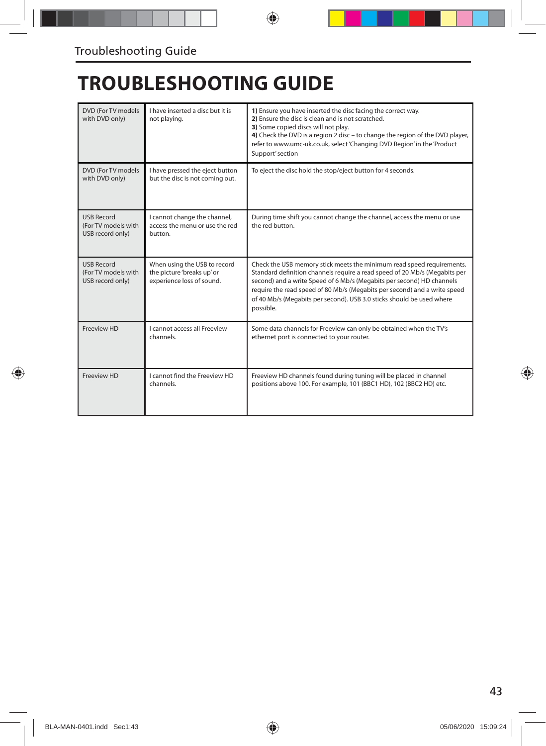## **TROUBLESHOOTING GUIDE**

| DVD (For TV models<br>with DVD only)                         | I have inserted a disc but it is<br>not playing.                                        | 1) Ensure you have inserted the disc facing the correct way.<br>2) Ensure the disc is clean and is not scratched.<br>3) Some copied discs will not play.<br>4) Check the DVD is a region 2 disc - to change the region of the DVD player,<br>refer to www.umc-uk.co.uk, select 'Changing DVD Region' in the 'Product<br>Support' section                                                        |
|--------------------------------------------------------------|-----------------------------------------------------------------------------------------|-------------------------------------------------------------------------------------------------------------------------------------------------------------------------------------------------------------------------------------------------------------------------------------------------------------------------------------------------------------------------------------------------|
| DVD (For TV models)<br>with DVD only)                        | I have pressed the eject button<br>but the disc is not coming out.                      | To eject the disc hold the stop/eject button for 4 seconds.                                                                                                                                                                                                                                                                                                                                     |
| <b>USB Record</b><br>(For TV models with<br>USB record only) | I cannot change the channel,<br>access the menu or use the red<br>button.               | During time shift you cannot change the channel, access the menu or use<br>the red button.                                                                                                                                                                                                                                                                                                      |
| <b>USB Record</b><br>(For TV models with<br>USB record only) | When using the USB to record<br>the picture 'breaks up' or<br>experience loss of sound. | Check the USB memory stick meets the minimum read speed requirements.<br>Standard definition channels require a read speed of 20 Mb/s (Megabits per<br>second) and a write Speed of 6 Mb/s (Megabits per second) HD channels<br>require the read speed of 80 Mb/s (Megabits per second) and a write speed<br>of 40 Mb/s (Megabits per second). USB 3.0 sticks should be used where<br>possible. |
| Freeview HD                                                  | I cannot access all Freeview<br>channels.                                               | Some data channels for Freeview can only be obtained when the TV's<br>ethernet port is connected to your router.                                                                                                                                                                                                                                                                                |
| Freeview HD                                                  | I cannot find the Freeview HD<br>channels.                                              | Freeview HD channels found during tuning will be placed in channel<br>positions above 100. For example, 101 (BBC1 HD), 102 (BBC2 HD) etc.                                                                                                                                                                                                                                                       |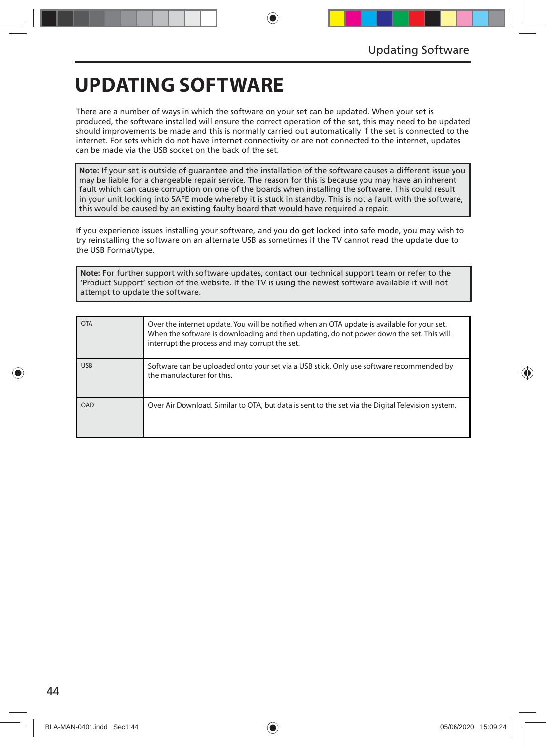## **UPDATING SOFTWARE**

There are a number of ways in which the software on your set can be updated. When your set is produced, the software installed will ensure the correct operation of the set, this may need to be updated should improvements be made and this is normally carried out automatically if the set is connected to the internet. For sets which do not have internet connectivity or are not connected to the internet, updates can be made via the USB socket on the back of the set.

**Note:** If your set is outside of guarantee and the installation of the software causes a different issue you may be liable for a chargeable repair service. The reason for this is because you may have an inherent fault which can cause corruption on one of the boards when installing the software. This could result in your unit locking into SAFE mode whereby it is stuck in standby. This is not a fault with the software, this would be caused by an existing faulty board that would have required a repair.

If you experience issues installing your software, and you do get locked into safe mode, you may wish to try reinstalling the software on an alternate USB as sometimes if the TV cannot read the update due to the USB Format/type.

**Note:** For further support with software updates, contact our technical support team or refer to the 'Product Support' section of the website. If the TV is using the newest software available it will not attempt to update the software.

| <b>OTA</b> | Over the internet update. You will be notified when an OTA update is available for your set.<br>When the software is downloading and then updating, do not power down the set. This will<br>interrupt the process and may corrupt the set. |
|------------|--------------------------------------------------------------------------------------------------------------------------------------------------------------------------------------------------------------------------------------------|
| <b>USB</b> | Software can be uploaded onto your set via a USB stick. Only use software recommended by<br>the manufacturer for this.                                                                                                                     |
| OAD        | Over Air Download. Similar to OTA, but data is sent to the set via the Digital Television system.                                                                                                                                          |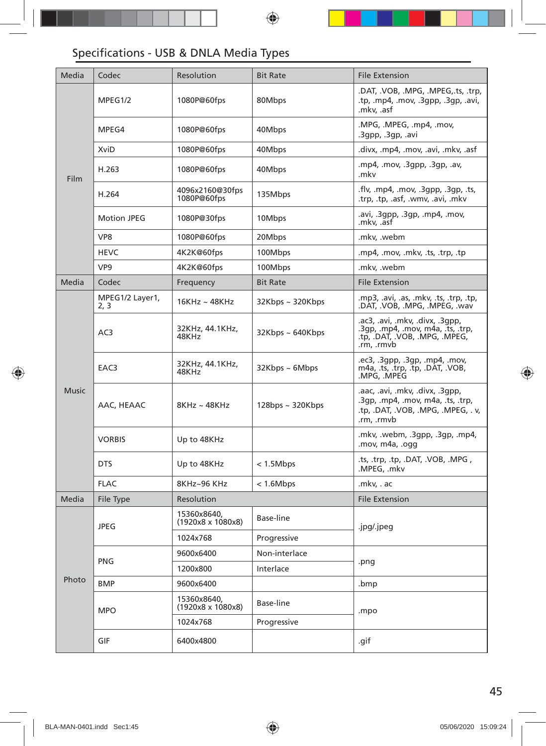### Specifications - USB & DNLA Media Types

| Media        | Codec                   | Resolution                              | <b>Bit Rate</b>        | <b>File Extension</b>                                                                                                   |  |
|--------------|-------------------------|-----------------------------------------|------------------------|-------------------------------------------------------------------------------------------------------------------------|--|
| Film         | MPEG1/2                 | 1080P@60fps                             | 80Mbps                 | .DAT, .VOB, .MPG, .MPEG,.ts, .trp,<br>.tp, .mp4, .mov, .3gpp, .3gp, .avi,<br>.mkv, .asf                                 |  |
|              | MPEG4                   | 1080P@60fps                             | 40Mbps                 | .MPG, .MPEG, .mp4, .mov,<br>.3gpp, .3gp, .avi                                                                           |  |
|              | XviD                    | 1080P@60fps                             | 40Mbps                 | .divx, .mp4, .mov, .avi, .mkv, .asf                                                                                     |  |
|              | H.263                   | 1080P@60fps                             | 40Mbps                 | .mp4, .mov, .3qpp, .3qp, .av,<br>.mkv                                                                                   |  |
|              | H.264                   | 4096x2160@30fps<br>1080P@60fps          | 135Mbps                | .flv, .mp4, .mov, .3gpp, .3gp, .ts,<br>.trp, .tp, .asf, .wmv, .avi, .mkv                                                |  |
|              | <b>Motion JPEG</b>      | 1080P@30fps                             | 10Mbps                 | .avi, .3qpp, .3qp, .mp4, .mov,<br>.mkv, .asf                                                                            |  |
|              | VP8                     | 1080P@60fps                             | 20Mbps                 | .mkv, .webm                                                                                                             |  |
|              | <b>HEVC</b>             | 4K2K@60fps                              | 100Mbps                | .mp4, .mov, .mkv, .ts, .trp, .tp                                                                                        |  |
|              | VP <sub>9</sub>         | 4K2K@60fps                              | 100Mbps                | .mkv, .webm                                                                                                             |  |
| Media        | Codec                   | Frequency                               | <b>Bit Rate</b>        | <b>File Extension</b>                                                                                                   |  |
| <b>Music</b> | MPEG1/2 Layer1,<br>2, 3 | $16KHz \sim 48KHz$                      | 32Kbps ~ 320Kbps       | .mp3, .avi, .as, .mkv, .ts, .trp, .tp,<br>.DAT, .VOB, .MPG, .MPEG, .wav                                                 |  |
|              | AC3                     | 32KHz, 44.1KHz,<br>48KHz                | $32Kbps \sim 640Kbps$  | .ac3, .avi, .mkv, .divx, .3qpp,<br>.3qp, .mp4, .mov, m4a, .ts, .trp,<br>.tp, .DAT, .VOB, .MPG, .MPEG,<br>.rm, .rmvb     |  |
|              | EAC3                    | 32KHz, 44.1KHz,<br>48KHz                | $32Kbps \sim 6Mbps$    | .ec3, .3gpp, .3gp, .mp4, .mov,<br>m4a, .ts, .trp, .tp, .DAT, .VOB,<br>.MPG, .MPEG                                       |  |
|              | AAC, HEAAC              | 8KHz~48KHz                              | $128$ bps ~ $320K$ bps | .aac, .avi, .mkv, .divx, .3qpp,<br>.3gp, .mp4, .mov, m4a, .ts, .trp,<br>.tp, .DAT, .VOB, .MPG, .MPEG, .v,<br>.rm, .rmvb |  |
|              | <b>VORBIS</b>           | Up to 48KHz                             |                        | .mkv, .webm, .3gpp, .3gp, .mp4,<br>.mov, m4a, .ogg                                                                      |  |
|              | <b>DTS</b>              | Up to 48KHz                             | < 1.5Mbps              | .ts, .trp, .tp, .DAT, .VOB, .MPG,<br>.MPEG, .mkv                                                                        |  |
|              | <b>FLAC</b>             | 8KHz~96 KHz                             | < 1.6 Mbps             | .mkv, . ac                                                                                                              |  |
| Media        | File Type               | Resolution                              |                        | <b>File Extension</b>                                                                                                   |  |
| Photo        | <b>JPEG</b>             | 15360x8640,<br>(1920x8 x 1080x8)        | Base-line              | .jpg/.jpeg                                                                                                              |  |
|              |                         | 1024x768                                | Progressive            |                                                                                                                         |  |
|              | <b>PNG</b>              | 9600x6400                               | Non-interlace          |                                                                                                                         |  |
|              |                         | 1200x800                                | Interlace              | .png                                                                                                                    |  |
|              | <b>BMP</b>              | 9600x6400                               |                        | .bmp                                                                                                                    |  |
|              | <b>MPO</b>              | 15360x8640,<br>$(1920x8 \times 1080x8)$ | Base-line              | .mpo                                                                                                                    |  |
|              |                         | 1024x768                                | Progressive            |                                                                                                                         |  |
|              | GIF                     | 6400x4800                               |                        | .gif                                                                                                                    |  |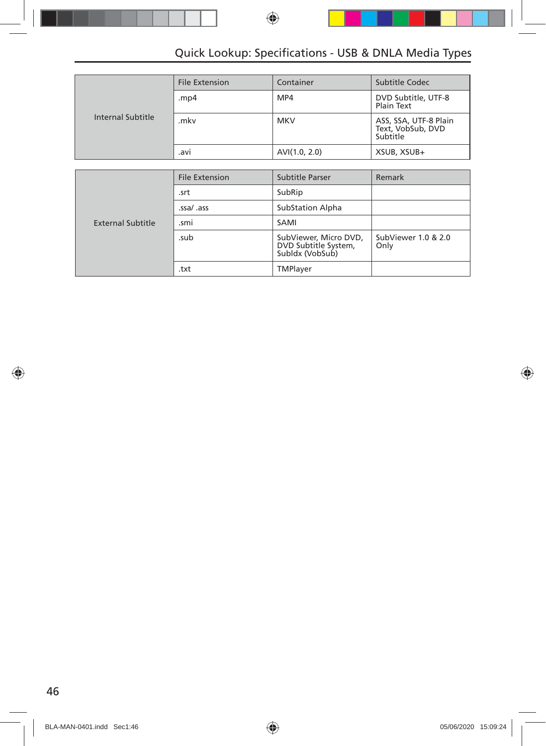### Quick Lookup: Specifications - USB & DNLA Media Types

|                   | <b>File Extension</b> | Container     | Subtitle Codec                                         |
|-------------------|-----------------------|---------------|--------------------------------------------------------|
|                   | .mp4                  | MP4           | DVD Subtitle, UTF-8<br>Plain Text                      |
| Internal Subtitle | .mkv                  | <b>MKV</b>    | ASS, SSA, UTF-8 Plain<br>Text, VobSub, DVD<br>Subtitle |
|                   | .avi                  | AVI(1.0, 2.0) | XSUB, XSUB+                                            |

|                   | <b>File Extension</b> | Subtitle Parser                                                  | Remark                      |
|-------------------|-----------------------|------------------------------------------------------------------|-----------------------------|
|                   | .srt                  | SubRip                                                           |                             |
|                   | .ssa/ .ass            | <b>SubStation Alpha</b>                                          |                             |
| External Subtitle | .smi                  | SAMI                                                             |                             |
|                   | .sub                  | SubViewer, Micro DVD,<br>DVD Subtitle System,<br>Subldx (VobSub) | SubViewer 1.0 & 2.0<br>Only |
|                   | .txt                  | TMPlayer                                                         |                             |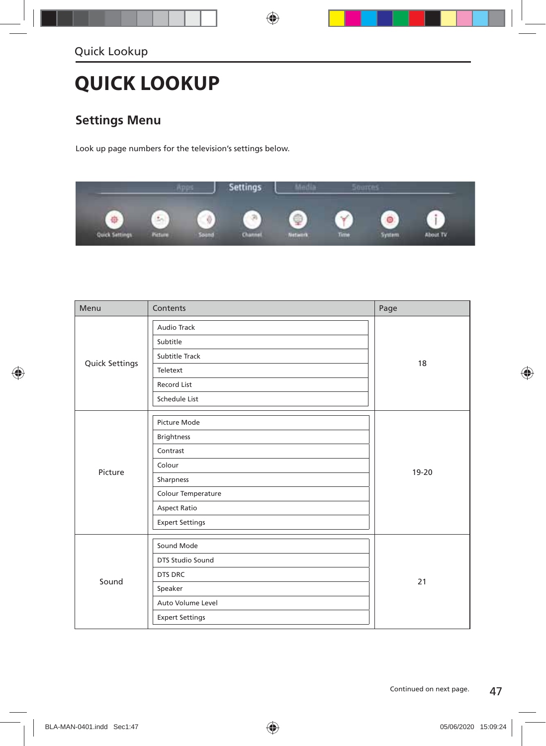## **QUICK LOOKUP**

### **Settings Menu**

Look up page numbers for the television's settings below.



| Menu           | Contents               | Page  |  |
|----------------|------------------------|-------|--|
|                | Audio Track            |       |  |
|                | Subtitle               |       |  |
|                | Subtitle Track         |       |  |
| Quick Settings | Teletext               | 18    |  |
|                | Record List            |       |  |
|                | Schedule List          |       |  |
|                | Picture Mode           |       |  |
|                | <b>Brightness</b>      | 19-20 |  |
|                | Contrast               |       |  |
|                | Colour                 |       |  |
| Picture        | Sharpness              |       |  |
|                | Colour Temperature     |       |  |
|                | <b>Aspect Ratio</b>    |       |  |
|                | <b>Expert Settings</b> |       |  |
|                | Sound Mode             |       |  |
|                | DTS Studio Sound       |       |  |
|                | DTS DRC                |       |  |
| Sound          | Speaker                | 21    |  |
|                | Auto Volume Level      |       |  |
|                | <b>Expert Settings</b> |       |  |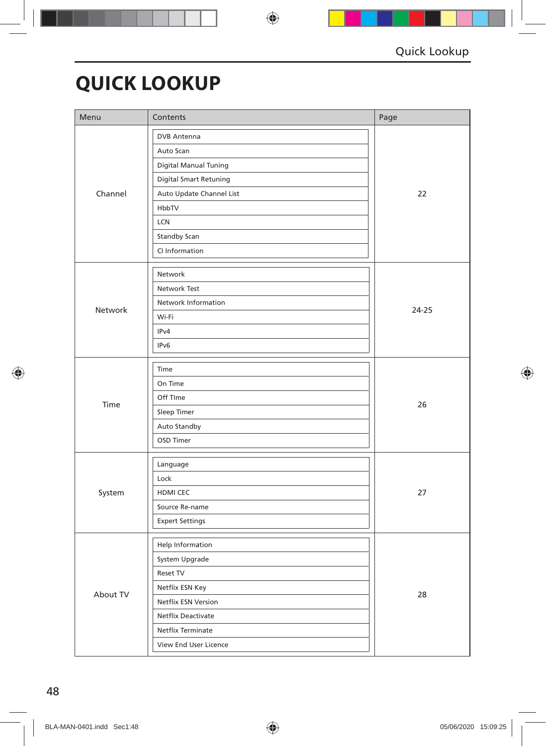## **QUICK LOOKUP**

| Menu     | Contents                      | Page      |  |
|----------|-------------------------------|-----------|--|
|          | <b>DVB</b> Antenna            |           |  |
|          | Auto Scan                     |           |  |
|          | <b>Digital Manual Tuning</b>  |           |  |
|          | <b>Digital Smart Retuning</b> |           |  |
| Channel  | Auto Update Channel List      | 22        |  |
|          | HbbTV                         |           |  |
|          | LCN                           |           |  |
|          | Standby Scan                  |           |  |
|          | CI Information                |           |  |
|          | Network                       |           |  |
|          | Network Test                  |           |  |
|          | Network Information           | $24 - 25$ |  |
| Network  | Wi-Fi                         |           |  |
|          | IPv4                          |           |  |
|          | IPv6                          |           |  |
|          | Time                          |           |  |
|          | On Time                       |           |  |
|          | Off TIme                      |           |  |
| Time     | Sleep Timer                   | 26        |  |
|          | Auto Standby                  |           |  |
|          | OSD Timer                     |           |  |
|          | Language                      |           |  |
|          | Lock                          |           |  |
| System   | HDMI CEC                      | 27        |  |
|          | Source Re-name                |           |  |
|          | <b>Expert Settings</b>        |           |  |
|          | Help Information              |           |  |
|          | System Upgrade                |           |  |
|          | Reset TV                      |           |  |
|          | Netflix ESN Key               |           |  |
| About TV | Netflix ESN Version           | 28        |  |
|          | Netflix Deactivate            |           |  |
|          | Netflix Terminate             |           |  |
|          | View End User Licence         |           |  |
|          |                               |           |  |